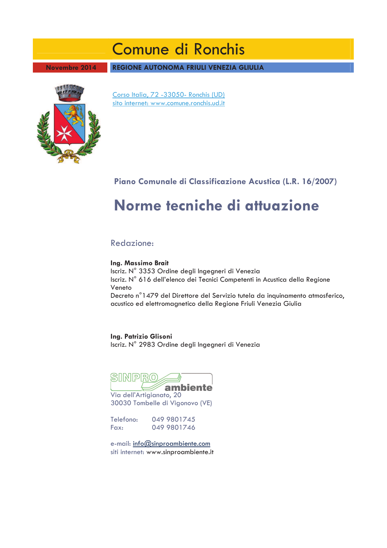# Comune di Ronchis

**Novembre 2014** 

REGIONE AUTONOMA FRIULI VENEZIA GLIULIA



Corso Italia, 72 -33050- Ronchis (UD) sito internet: www.comune.ronchis.ud.it

# Piano Comunale di Classificazione Acustica (L.R. 16/2007)

# Norme tecniche di attuazione

Redazione:

Ing. Massimo Brait

Iscriz. Nº 3353 Ordine degli Ingegneri di Venezia Iscriz. Nº 616 dell'elenco dei Tecnici Competenti in Acustica della Regione Veneto Decreto nº 1479 del Direttore del Servizio tutela da inquinamento atmosferico,

acustico ed elettromagnetico della Regione Friuli Venezia Giulia

Ing. Patrizio Glisoni Iscriz. Nº 2983 Ordine degli Ingegneri di Venezia



Via dell'Artigianato, 20 30030 Tombelle di Vigonovo (VE)

Telefono: 049 9801745 Fax: 049 9801746

e-mail: info@sinproambiente.com siti internet: www.sinproambiente.it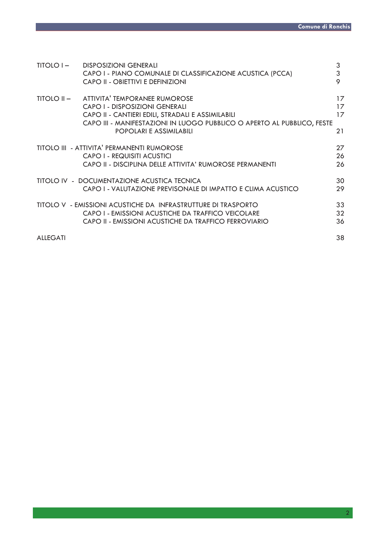| TITOLO I –      | <b>DISPOSIZIONI GENERALI</b><br>CAPO I - PIANO COMUNALE DI CLASSIFICAZIONE ACUSTICA (PCCA)<br>CAPO II - OBIETTIVI E DEFINIZIONI                                                                                                        | 3<br>3<br>9          |
|-----------------|----------------------------------------------------------------------------------------------------------------------------------------------------------------------------------------------------------------------------------------|----------------------|
|                 | TITOLO II - ATTIVITA' TEMPORANEE RUMOROSE<br>CAPO I - DISPOSIZIONI GENERALI<br>CAPO II - CANTIERI EDILI, STRADALI E ASSIMILABILI<br>CAPO III - MANIFESTAZIONI IN LUOGO PUBBLICO O APERTO AL PUBBLICO, FESTE<br>POPOLARI E ASSIMILABILI | 17<br>17<br>17<br>21 |
|                 | <b>TITOLO III - ATTIVITA' PERMANENTI RUMOROSE</b>                                                                                                                                                                                      | 27                   |
|                 | CAPO I - REQUISITI ACUSTICI                                                                                                                                                                                                            | 26                   |
|                 | CAPO II - DISCIPLINA DELLE ATTIVITA' RUMOROSE PERMANENTI                                                                                                                                                                               | 26                   |
|                 | TITOLO IV - DOCUMENTAZIONE ACUSTICA TECNICA                                                                                                                                                                                            | 30                   |
|                 | CAPO I - VALUTAZIONE PREVISONALE DI IMPATTO E CLIMA ACUSTICO                                                                                                                                                                           | 29                   |
|                 | TITOLO V - EMISSIONI ACUSTICHE DA INFRASTRUTTURE DI TRASPORTO                                                                                                                                                                          | 33                   |
|                 | CAPO I - EMISSIONI ACUSTICHE DA TRAFFICO VEICOLARE                                                                                                                                                                                     | 32                   |
|                 | CAPO II - EMISSIONI ACUSTICHE DA TRAFFICO FERROVIARIO                                                                                                                                                                                  | 36                   |
| <b>ALLEGATI</b> |                                                                                                                                                                                                                                        | 38                   |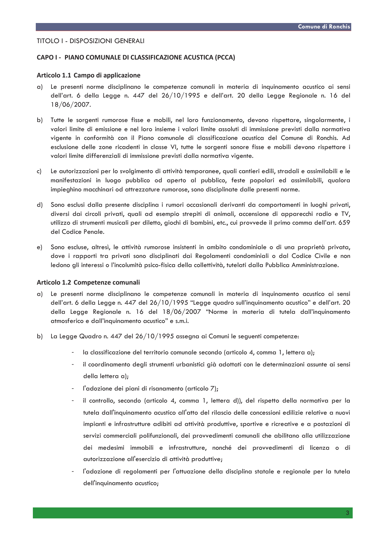## **TITOLO I - DISPOSIZIONI GENERALI**

## CAPO I - PIANO COMUNALE DI CLASSIFICAZIONE ACUSTICA (PCCA)

## Articolo 1.1 Campo di applicazione

- Le presenti norme disciplinano le competenze comunali in materia di inquinamento acustico ai sensi a) dell'art. 6 della Legge n. 447 del 26/10/1995 e dell'art. 20 della Legge Regionale n. 16 del 18/06/2007.
- b) Tutte le sorgenti rumorose fisse e mobili, nel loro funzionamento, devono rispettare, singolarmente, i valori limite di emissione e nel loro insieme i valori limite assoluti di immissione previsti dalla normativa vigente in conformità con il Piano comunale di classificazione acustica del Comune di Ronchis. Ad esclusione delle zone ricadenti in classe VI, tutte le sorgenti sonore fisse e mobili devono rispettare i valori limite differenziali di immissione previsti dalla normativa vigente.
- $c)$ Le autorizzazioni per lo svolgimento di attività temporanee, quali cantieri edili, stradali e assimilabili e le manifestazioni in luogo pubblico od aperto al pubblico, feste popolari ed assimilabili, qualora impieghino macchinari od attrezzature rumorose, sono disciplinate dalle presenti norme.
- Sono esclusi dalla presente disciplina i rumori occasionali derivanti da comportamenti in luoghi privati, d) diversi dai circoli privati, quali ad esempio strepiti di animali, accensione di apparecchi radio e TV, utilizzo di strumenti musicali per diletto, giochi di bambini, etc., cui provvede il primo comma dell'art. 659 del Codice Penale.
- Sono escluse, altresì, le attività rumorose insistenti in ambito condominiale o di una proprietà privata,  $e)$ dove i rapporti tra privati sono disciplinati dai Regolamenti condominiali o dal Codice Civile e non ledono gli interessi o l'incolumità psico-fisica della collettività, tutelati dalla Pubblica Amministrazione.

#### Articolo 1.2 Competenze comunali

- Le presenti norme disciplinano le competenze comunali in materia di inquinamento acustico ai sensi a) dell'art. 6 della Legge n. 447 del 26/10/1995 "Legge quadro sull'inquinamento acustico" e dell'art. 20 della Legge Regionale n. 16 del 18/06/2007 "Norme in materia di tutela dall'inquinamento atmosferico e dall'inquinamento acustico" e s.m.i.
- b) La Legge Quadro n. 447 del 26/10/1995 assegna ai Comuni le seguenti competenze:
	- la classificazione del territorio comunale secondo (articolo 4, comma 1, lettera a);
	- il coordinamento degli strumenti urbanistici già adottati con le determinazioni assunte ai sensi della lettera a);
	- l'adozione dei piani di risanamento (articolo 7);
	- il controllo, secondo (articolo 4, comma 1, lettera d)), del rispetto della normativa per la tutela dall'inquinamento acustico all'atto del rilascio delle concessioni edilizie relative a nuovi impianti e infrastrutture adibiti ad attività produttive, sportive e ricreative e a postazioni di servizi commerciali polifunzionali, dei provvedimenti comunali che abilitano alla utilizzazione dei medesimi immobili e infrastrutture, nonché dei provvedimenti di licenza o di autorizzazione all'esercizio di attività produttive;
	- l'adozione di regolamenti per l'attuazione della disciplina statale e regionale per la tutela dell'inquinamento acustico;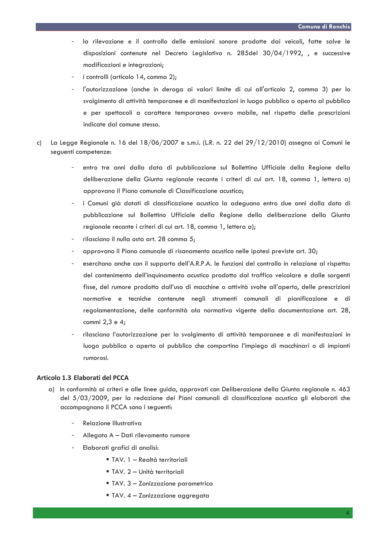- la rilevazione e il controllo delle emissioni sonore prodotte dai veicoli, fatte salve le disposizioni contenute nel Decreto Legislativo n. 285del 30/04/1992, , e successive modificazioni e integrazioni;
- i controlli (articolo 14, comma 2):
- l'autorizzazione (anche in deroga ai valori limite di cui all'articolo 2, comma 3) per lo svolgimento di attività temporanee e di manifestazioni in luogo pubblico o aperto al pubblico e per spettacoli a carattere temporaneo ovvero mobile, nel rispetto delle prescrizioni indicate dal comune stesso.
- La Legge Regionale n. 16 del 18/06/2007 e s.m.i. (L.R. n. 22 del 29/12/2010) assegna ai Comuni le c) sequenti competenze:
	- entro tre anni dalla data di pubblicazione sul Bollettino Ufficiale della Regione della deliberazione della Giunta regionale recante i criteri di cui art. 18, comma 1, lettera a) approvano il Piano comunale di Classificazione acustica;
	- i Comuni già dotati di classificazione acustica la adeguano entro due anni dalla data di pubblicazione sul Bollettino Ufficiale della Regione della deliberazione della Giunta regionale recante i criteri di cui art. 18, comma 1, lettera a);
	- rilasciano il nulla osta art. 28 comma 5;
	- approvano il Piano comunale di risanamento acustico nelle ipotesi previste art. 30;
	- esercitano anche con il supporto dell'A.R.P.A. le funzioni del controllo in relazione al rispetto: del contenimento dell'inquinamento acustico prodotto dal traffico veicolare e dalle sorgenti fisse, del rumore prodotto dall'uso di macchine o attività svolte all'aperto, delle prescrizioni normative e tecniche contenute negli strumenti comunali di pianificazione e di regolamentazione, delle conformità ala normativa vigente della documentazione art. 28. commi 2,3 e 4;
	- rilasciano l'autorizzazione per lo svolgimento di attività temporanee e di manifestazioni in luogo pubblico o aperto al pubblico che comportino l'impiego di macchinari o di impianti rumorosi.

## Articolo 1.3 Elaborati del PCCA

- a) In conformità ai criteri e alle linee quida, approvati con Deliberazione della Giunta regionale n. 463 del 5/03/2009, per la redazione dei Piani comunali di classificazione acustica gli elaborati che accompagnano il PCCA sono i seguenti:
	- Relazione Illustrativa
	- Allegato A Dati rilevamento rumore
	- Elaborati grafici di analisi:
		- " TAV. 1 Realtà territoriali
		- TAV. 2 Unità territoriali
		- TAV. 3 Zonizzazione parametrica
		- TAV. 4 Zonizzazione aggregata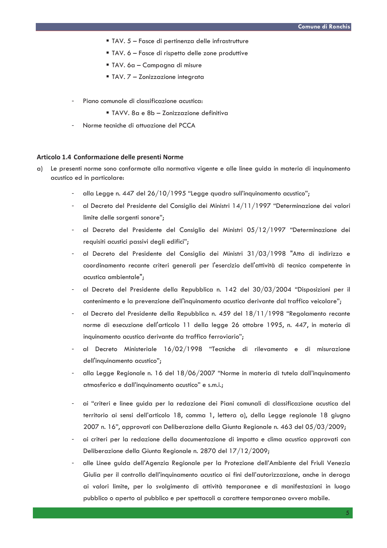- " TAV. 5 Fasce di pertinenza delle infrastrutture
- " TAV. 6 Fasce di rispetto delle zone produttive
- TAV. 6a Campagna di misure
- " TAV, 7 Zonizzazione integrata
- Piano comunale di classificazione acustica:
	- TAVV, 8a e 8b Zonizzazione definitiva
- Norme tecniche di attuazione del PCCA

## Articolo 1.4 Conformazione delle presenti Norme

- Le presenti norme sono conformate alla normativa vigente e alle linee guida in materia di inquinamento  $\alpha$ acustico ed in particolare:
	- alla Legge n. 447 del 26/10/1995 "Legge quadro sull'inquinamento acustico";
	- al Decreto del Presidente del Consiglio dei Ministri 14/11/1997 "Determinazione dei valori limite delle sorgenti sonore";
	- al Decreto del Presidente del Consiglio dei Ministri 05/12/1997 "Determinazione dei requisiti acustici passivi deali edifici":
	- al Decreto del Presidente del Consiglio dei Ministri 31/03/1998 "Atto di indirizzo e coordinamento recante criteri generali per l'esercizio dell'attività di tecnico competente in acustica ambientale";
	- al Decreto del Presidente della Repubblica n. 142 del 30/03/2004 "Disposizioni per il contenimento e la prevenzione dell'inquinamento acustico derivante dal traffico veicolare";
	- al Decreto del Presidente della Repubblica n. 459 del 18/11/1998 "Regolamento recante norme di esecuzione dell'articolo 11 della legge 26 ottobre 1995, n. 447, in materia di inquinamento acustico derivante da traffico ferroviario";
	- al Decreto Ministeriale 16/02/1998 "Tecniche di rilevamento e di misurazione dell'inquinamento acustico";
	- alla Legge Regionale n. 16 del 18/06/2007 "Norme in materia di tutela dall'inquinamento atmosferico e dall'inquinamento acustico" e s.m.i.;
	- ai "criteri e linee guida per la redazione dei Piani comunali di classificazione acustica del territorio ai sensi dell'articolo 18, comma 1, lettera a), della Legge regionale 18 giugno 2007 n. 16", approvati con Deliberazione della Giunta Regionale n. 463 del 05/03/2009;
	- ai criteri per la redazione della documentazione di impatto e clima acustico approvati con Deliberazione della Giunta Regionale n. 2870 del 17/12/2009;
	- alle Linee guida dell'Agenzia Regionale per la Protezione dell'Ambiente del Friuli Venezia Giulia per il controllo dell'inquinamento acustico ai fini dell'autorizzazione, anche in deroga ai valori limite, per lo svolgimento di attività temporanee e di manifestazioni in luogo pubblico o aperto al pubblico e per spettacoli a carattere temporaneo ovvero mobile.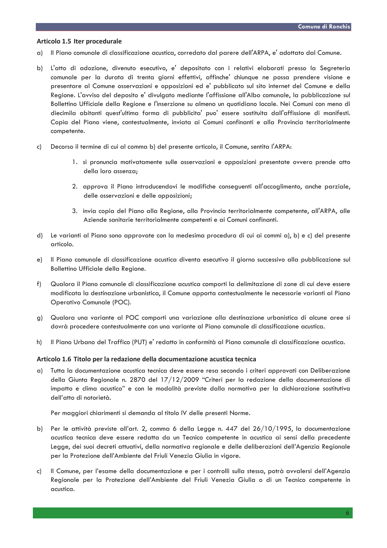## Articolo 1.5 Iter procedurale

- Il Piano comunale di classificazione acustica, corredato dal parere dell'ARPA, e' adottato dal Comune.  $\alpha$ )
- L'atto di adozione, divenuto esecutivo, e' depositato con i relativi elaborati presso la Segreteria b) comunale per la durata di trenta giorni effettivi, affinche' chiunque ne possa prendere visione e presentare al Comune osservazioni e opposizioni ed e' pubblicato sul sito internet del Comune e della Regione. L'avviso del deposito e' divulgato mediante l'affissione all'Albo comunale, la pubblicazione sul Bollettino Ufficiale della Regione e l'inserzione su almeno un quotidiano locale. Nei Comuni con meno di diecimila abitanti quest'ultima forma di pubblicita' puo' essere sostituita dall'affissione di manifesti. Copia del Piano viene, contestualmente, inviata ai Comuni confinanti e alla Provincia territorialmente competente.
- Decorso il termine di cui al comma b) del presente articolo, il Comune, sentita l'ARPA: c)
	- 1. si pronuncia motivatamente sulle osservazioni e opposizioni presentate ovvero prende atto della loro assenza;
	- 2. approva il Piano introducendovi le modifiche conseguenti all'accoglimento, anche parziale, delle osservazioni e delle opposizioni;
	- 3. invia copia del Piano alla Regione, alla Provincia territorialmente competente, all'ARPA, alle Aziende sanitarie territorialmente competenti e ai Comuni confinanti.
- d) Le varianti al Piano sono approvate con la medesima procedura di cui ai commi a), b) e c) del presente articolo.
- Il Piano comunale di classificazione acustica diventa esecutivo il giorno successivo alla pubblicazione sul  $e)$ Bollettino Ufficiale della Regione.
- Qualora il Piano comunale di classificazione acustica comporti la delimitazione di zone di cui deve essere  $f$ ) modificata la destinazione urbanistica, il Comune apporta contestualmente le necessarie varianti al Piano Operativo Comunale (POC).
- g) Qualora una variante al POC comporti una variazione alla destinazione urbanistica di alcune aree si dovrà procedere contestualmente con una variante al Piano comunale di classificazione acustica.
- Il Piano Urbano del Traffico (PUT) e' redatto in conformità al Piano comunale di classificazione acustica.  $h)$

#### Articolo 1.6 Titolo per la redazione della documentazione acustica tecnica

Tutta la documentazione acustica tecnica deve essere resa secondo i criteri approvati con Deliberazione a) della Giunta Regionale n. 2870 del 17/12/2009 "Criteri per la redazione della documentazione di impatto e clima acustico" e con le modalità previste dalla normativa per la dichiarazione sostitutiva dell'atto di notorietà.

Per maggiori chiarimenti si demanda al titolo IV delle presenti Norme.

- Per le attività previste all'art. 2, comma 6 della Legge n. 447 del 26/10/1995, la documentazione b) acustica tecnica deve essere redatta da un Tecnico competente in acustica ai sensi della precedente Legge, dei suoi decreti attuativi, della normativa regionale e delle deliberazioni dell'Agenzia Regionale per la Protezione dell'Ambiente del Friuli Venezia Giulia in vigore.
- Il Comune, per l'esame della documentazione e per i controlli sulla stessa, potrà avvalersi dell'Agenzia c) Regionale per la Protezione dell'Ambiente del Friuli Venezia Giulia o di un Tecnico competente in acustica.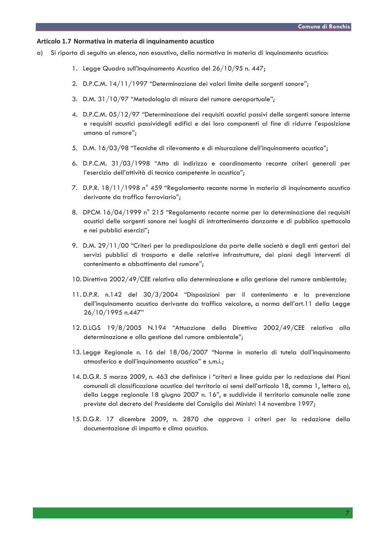## Articolo 1.7 Normativa in materia di inquinamento acustico

- $\alpha$ ) Si riporta di seguito un elenco, non esaustivo, della normativa in materia di inquinamento acustico:
	- 1. Legge Quadro sull'Inquinamento Acustico del 26/10/95 n. 447;
	- 2. D.P.C.M. 14/11/1997 "Determinazione dei valori limite delle sorgenti sonore":
	- 3. D.M. 31/10/97 "Metodologia di misura del rumore aeroportuale";
	- 4. D.P.C.M. 05/12/97 "Determinazione dei requisiti acustici passivi delle sorgenti sonore interne e requisiti acustici passividegli edifici e dei loro componenti al fine di ridurre l'esposizione umana al rumore";
	- 5. D.M. 16/03/98 "Tecniche di rilevamento e di misurazione dell'inquinamento acustico";
	- 6. D.P.C.M. 31/03/1998 "Atto di indirizzo e coordinamento recante criteri generali per l'esercizio dell'attività di tecnico competente in acustica";
	- 7. D.P.R. 18/11/1998 n° 459 "Regolamento recante norme in materia di inquinamento acustico derivante da traffico ferroviario":
	- 8. DPCM 16/04/1999 n° 215 "Regolamento recante norme per la determinazione dei requisiti acustici delle sorgenti sonore nei luoghi di intrattenimento danzante e di pubblico spettacolo e nei pubblici esercizi";
	- 9. D.M. 29/11/00 "Criteri per la predisposizione da parte delle società e degli enti gestori dei servizi pubblici di trasporto e delle relative infrastrutture, dei piani degli interventi di contenimento e abbattimento del rumore";
	- 10. Direttiva 2002/49/CEE relativa alla determinazione e alla gestione del rumore ambientale;
	- 11. D.P.R. n.142 del 30/3/2004 "Disposizioni per il contenimento e la prevenzione dell'inquinamento acustico derivante da traffico veicolare, a norma dell'art.11 della Legge 26/10/1995 n.447"
	- 12.D.LGS 19/8/2005 N.194 "Attuazione della Direttiva 2002/49/CEE relativa alla determinazione e alla gestione del rumore ambientale";
	- 13. Legge Regionale n. 16 del 18/06/2007 "Norme in materia di tutela dall'inquinamento atmosferico e dall'inquinamento acustico" e s.m.i.;
	- 14. D.G.R. 5 marzo 2009, n. 463 che definisce i "criteri e linee guida per la redazione dei Piani comunali di classificazione acustica del territorio ai sensi dell'articolo 18, comma 1, lettera a), della Legge regionale 18 giugno 2007 n. 16", e suddivide il territorio comunale nelle zone previste dal decreto del Presidente del Consiglio dei Ministri 14 novembre 1997;
	- 15. D.G.R. 17 dicembre 2009, n. 2870 che approva i criteri per la redazione della documentazione di impatto e clima acustico.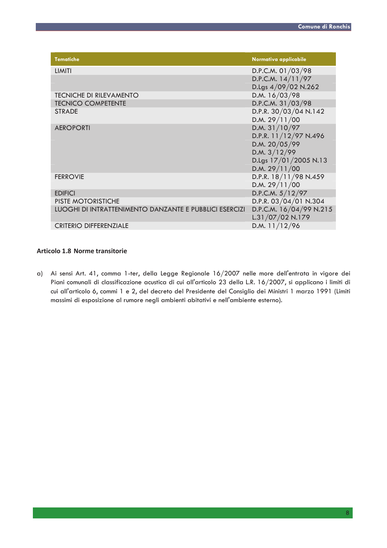| <b>Tematiche</b>                                       | Normativa applicabile                       |
|--------------------------------------------------------|---------------------------------------------|
| <b>LIMITI</b>                                          | D.P.C.M. 01/03/98                           |
|                                                        | D.P.C.M. 14/11/97                           |
|                                                        | D.Lgs 4/09/02 N.262                         |
| <b>TECNICHE DI RILEVAMENTO</b>                         | D.M. 16/03/98                               |
| <b>TECNICO COMPETENTE</b>                              | D.P.C.M. 31/03/98                           |
| <b>STRADE</b>                                          | D.P.R. 30/03/04 N.142                       |
|                                                        | D.M. 29/11/00                               |
| <b>AEROPORTI</b>                                       | D.M. 31/10/97                               |
|                                                        | D.P.R. 11/12/97 N.496                       |
|                                                        | D.M. 20/05/99                               |
|                                                        | D.M. $3/12/99$                              |
|                                                        | D.Lgs 17/01/2005 N.13                       |
|                                                        | D.M. 29/11/00                               |
| <b>FERROVIE</b>                                        | D.P.R. 18/11/98 N.459                       |
|                                                        | D.M. 29/11/00                               |
| <b>EDIFICI</b>                                         | D.P.C.M. 5/12/97                            |
| <b>PISTE MOTORISTICHE</b>                              | D.P.R. 03/04/01 N.304                       |
| LUOGHI DI INTRATTENIMENTO DANZANTE E PUBBLICI ESERCIZI | D.P.C.M. 16/04/99 N.215<br>L.31/07/02 N.179 |
| <b>CRITERIO DIFFERENZIALE</b>                          | D.M. $11/12/96$                             |

# Articolo 1.8 Norme transitorie

a) Ai sensi Art. 41, comma 1-ter, della Legge Regionale 16/2007 nelle more dell'entrata in vigore dei Piani comunali di classificazione acustica di cui all'articolo 23 della L.R. 16/2007, si applicano i limiti di cui all'articolo 6, commi 1 e 2, del decreto del Presidente del Consiglio dei Ministri 1 marzo 1991 (Limiti massimi di esposizione al rumore negli ambienti abitativi e nell'ambiente esterno).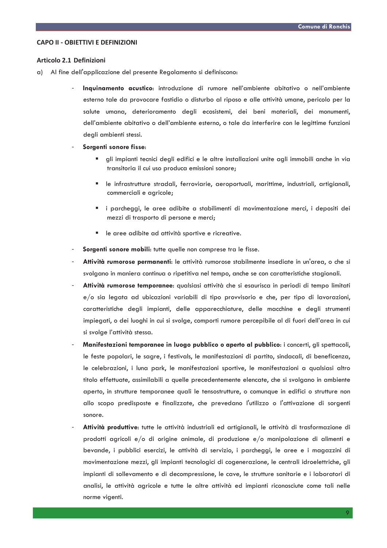#### CAPO II - OBIFTTIVI E DEFINIZIONI

#### Articolo 2.1 Definizioni

- a) Al fine dell'applicazione del presente Regolamento si definiscono:
	- Inquinamento acustico: introduzione di rumore nell'ambiente abitativo o nell'ambiente esterno tale da provocare fastidio o disturbo al riposo e alle attività umane, pericolo per la salute umana, deterioramento degli ecosistemi, dei beni materiali, dei monumenti, dell'ambiente abitativo o dell'ambiente esterno, o tale da interferire con le legittime funzioni degli ambienti stessi.
	- Sorgenti sonore fisse:
		- gli impianti tecnici degli edifici e le altre installazioni unite agli immobili anche in via transitoria il cui uso produca emissioni sonore;
		- " le infrastrutture stradali, ferroviarie, aeroportuali, marittime, industriali, artigianali, commerciali e agricole;
		- " i parcheggi, le aree adibite a stabilimenti di movimentazione merci, i depositi dei mezzi di trasporto di persone e merci;
		- le aree adibite ad attività sportive e ricreative.
	- Sorgenti sonore mobili: tutte quelle non comprese tra le fisse.
	- Attività rumorose permanenti: le attività rumorose stabilmente insediate in un'area, o che si svolgano in maniera continua o ripetitiva nel tempo, anche se con caratteristiche stagionali.
	- Attività rumorose temporanee: qualsiasi attività che si esaurisca in periodi di tempo limitati e/o sia legata ad ubicazioni variabili di tipo provvisorio e che, per tipo di lavorazioni, caratteristiche degli impianti, delle apparecchiature, delle macchine e degli strumenti impiegati, o dei luoghi in cui si svolge, comporti rumore percepibile al di fuori dell'area in cui si svolge l'attività stessa.
	- Manifestazioni temporanee in luogo pubblico o aperto al pubblico: i concerti, gli spettacoli, le feste popolari, le sagre, i festivals, le manifestazioni di partito, sindacali, di beneficenza, le celebrazioni, i luna park, le manifestazioni sportive, le manifestazioni a qualsiasi altro titolo effettuate, assimilabili a quelle precedentemente elencate, che si svolgano in ambiente aperto, in strutture temporanee quali le tensostrutture, o comunque in edifici o strutture non allo scopo predisposte e finalizzate, che prevedano l'utilizzo o l'attivazione di sorgenti sonore.
	- Attività produttive: tutte le attività industriali ed artigianali, le attività di trasformazione di prodotti agricoli e/o di origine animale, di produzione e/o manipolazione di alimenti e bevande, i pubblici esercizi, le attività di servizio, i parcheggi, le aree e i magazzini di movimentazione mezzi, gli impianti tecnologici di cogenerazione, le centrali idroelettriche, gli impianti di sollevamento e di decompressione, le cave, le strutture sanitarie e i laboratori di analisi, le attività agricole e tutte le altre attività ed impianti riconosciute come tali nelle norme vigenti.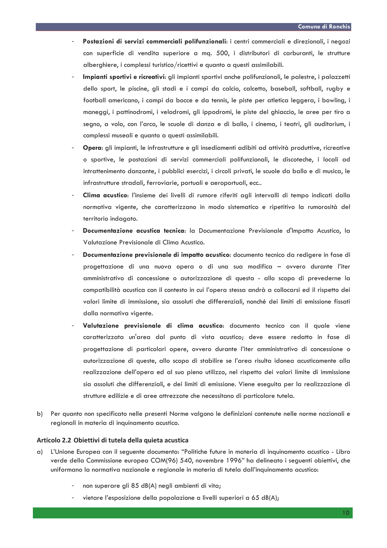- Postazioni di servizi commerciali polifunzionali: i centri commerciali e direzionali, i negozi con superficie di vendita superiore a mq. 500, i distributori di carburanti, le strutture alberghiere, i complessi turistico/ricettivi e quanto a questi assimilabili.
- Impianti sportivi e ricreativi: gli impianti sportivi anche polifunzionali, le palestre, i palazzetti dello sport, le piscine, gli stadi e i campi da calcio, calcetto, baseball, softball, rugby e football americano, i campi da bocce e da tennis, le piste per atletica leggera, i bowling, i maneggi, i pattinodromi, i velodromi, gli ippodromi, le piste del ghiaccio, le aree per tiro a segno, a volo, con l'arco, le scuole di danza e di ballo, i cinema, i teatri, gli auditorium, i complessi museali e quanto a questi assimilabili.
- Opera: ali impianti, le infrastrutture e ali insediamenti adibiti ad attività produttive, ricreative o sportive, le postazioni di servizi commerciali polifunzionali, le discoteche, i locali ad intrattenimento danzante, i pubblici esercizi, i circoli privati, le scuole da ballo e di musica, le infrastrutture stradali, ferroviarie, portuali e aeroportuali, ecc..
- Clima acustico: l'insieme dei livelli di rumore riferiti agli intervalli di tempo indicati dalla normativa vigente, che caratterizzano in modo sistematico e ripetitivo la rumorosità del territorio indagato.
- Documentazione acustica tecnica: la Documentazione Previsionale d'Impatto Acustico, la Valutazione Previsionale di Clima Acustico.
- Documentazione previsionale di impatto acustico: documento tecnico da redigere in fase di progettazione di una nuova opera o di una sua modifica - ovvero durante l'iter amministrativo di concessione o autorizzazione di questa - allo scopo di prevederne la compatibilità acustica con il contesto in cui l'opera stessa andrà a collocarsi ed il rispetto dei valori limite di immissione, sia assoluti che differenziali, nonché dei limiti di emissione fissati dalla normativa vigente.
- Valutazione previsionale di clima acustico: documento tecnico con il quale viene caratterizzata un'area dal punto di vista acustico; deve essere redatto in fase di progettazione di particolari opere, ovvero durante l'iter amministrativo di concessione o autorizzazione di queste, allo scopo di stabilire se l'area risulta idonea acusticamente alla realizzazione dell'opera ed al suo pieno utilizzo, nel rispetto dei valori limite di immissione sia assoluti che differenziali, e dei limiti di emissione. Viene eseguita per la realizzazione di strutture edilizie e di aree attrezzate che necessitano di particolare tutela.
- b) Per quanto non specificato nelle presenti Norme valgono le definizioni contenute nelle norme nazionali e regionali in materia di inquinamento acustico.

## Articolo 2.2 Obiettivi di tutela della quieta acustica

- L'Unione Europea con il seguente documento: "Politiche future in materia di inquinamento acustico Libro a) verde della Commissione europea COM(96) 540, novembre 1996" ha delineato i sequenti obiettivi, che uniformano la normativa nazionale e regionale in materia di tutela dall'inquinamento acustico:
	- non superare gli 85 dB(A) negli ambienti di vita;
	- vietare l'esposizione della popolazione a livelli superiori a 65 dB(A);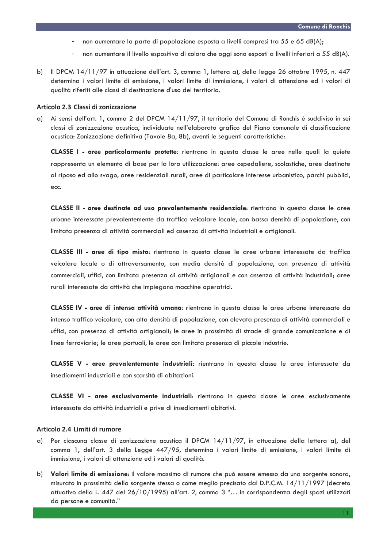- non aumentare la parte di popolazione esposta a livelli compresi tra 55 e 65 dB(A);
- non aumentare il livello espositivo di coloro che oggi sono esposti a livelli inferiori a 55 dB(A).
- Il DPCM 14/11/97 in attuazione dell'art. 3, comma 1, lettera a), della legge 26 ottobre 1995, n. 447 b) determina i valori limite di emissione, i valori limite di immissione, i valori di attenzione ed i valori di qualità riferiti alle classi di destinazione d'uso del territorio.

#### Articolo 2.3 Classi di zonizzazione

g) Ai sensi dell'art. 1, comma 2 del DPCM 14/11/97, il territorio del Comune di Ronchis è suddiviso in sei classi di zonizzazione acustica, individuate nell'elaborato grafico del Piano comunale di classificazione acustica: Zonizzazione definitiva (Tavole 8a, 8b), aventi le seguenti caratteristiche:

CLASSE I - aree particolarmente protette: rientrano in questa classe le aree nelle quali la quiete rappresenta un elemento di base per la loro utilizzazione: aree ospedaliere, scolastiche, aree destinate al riposo ed allo svago, aree residenziali rurali, aree di particolare interesse urbanistico, parchi pubblici, ecc.

CLASSE II - aree destinate ad uso prevalentemente residenziale: rientrano in questa classe le aree urbane interessate prevalentemente da traffico veicolare locale, con bassa densità di popolazione, con limitata presenza di attività commerciali ed assenza di attività industriali e artigianali.

CLASSE III - aree di tipo misto: rientrano in questa classe le aree urbane interessate da traffico veicolare locale o di attraversamento, con media densità di popolazione, con presenza di attività commerciali, uffici, con limitata presenza di attività artigianali e con assenza di attività industriali; aree rurali interessate da attività che impiegano macchine operatrici.

CLASSE IV - aree di intensa attività umana: rientrano in questa classe le aree urbane interessate da intenso traffico veicolare, con alta densità di popolazione, con elevata presenza di attività commerciali e uffici, con presenza di attività artigianali; le aree in prossimità di strade di grande comunicazione e di linee ferroviarie; le aree portuali, le aree con limitata presenza di piccole industrie.

CLASSE V - aree prevalentemente industriali: rientrano in questa classe le aree interessate da insediamenti industriali e con scarsità di abitazioni.

CLASSE VI - aree esclusivamente industriali: rientrano in questa classe le aree esclusivamente interessate da attività industriali e prive di insediamenti abitativi.

#### Articolo 2.4 Limiti di rumore

- Per ciascuna classe di zonizzazione acustica il DPCM  $14/11/97$ , in attuazione della lettera a), del a) comma 1, dell'art. 3 della Legge 447/95, determina i valori limite di emissione, i valori limite di immissione, i valori di attenzione ed i valori di qualità.
- Valori limite di emissione: il valore massimo di rumore che può essere emesso da una sorgente sonora,  $b)$ misurato in prossimità della sorgente stessa o come meglio precisato dal D.P.C.M. 14/11/1997 (decreto attuativo della L. 447 del 26/10/1995) all'art. 2, comma 3 "... in corrispondenza degli spazi utilizzati da persone e comunità."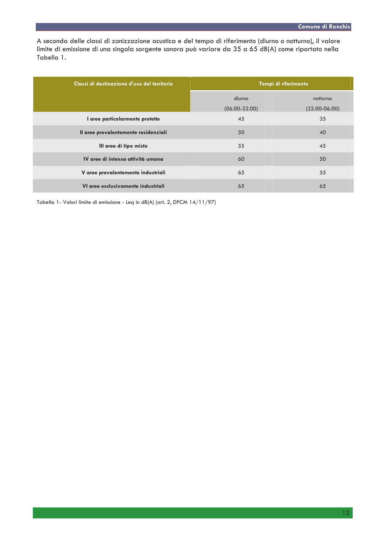A seconda delle classi di zonizzazione acustica e del tempo di riferimento (diurno o notturno), il valore limite di emissione di una singola sorgente sonora può variare da 35 a 65 dB(A) come riportato nella Tabella 1.

| Classi di destinazione d'uso del territorio | Tempi di riferimento |                   |  |
|---------------------------------------------|----------------------|-------------------|--|
|                                             | diurno               | notturno          |  |
|                                             | $(06.00 - 22.00)$    | $(22.00 - 06.00)$ |  |
| I aree particolarmente protette             | 45                   | 35                |  |
| Il aree prevalentemente residenziali        | 50                   | 40                |  |
| Ill aree di tipo misto                      | 55                   | 45                |  |
| IV aree di intensa attività umana           | 60                   | 50                |  |
| V aree prevalentemente industriali          | 65                   | 55                |  |
| VI aree esclusivamente industriali          | 65                   | 65                |  |

Tabella 1- Valori limite di emissione - Leq in dB(A) (art. 2, DPCM 14/11/97)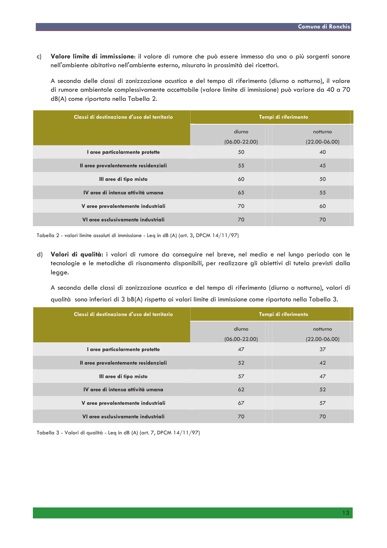Valore limite di immissione: il valore di rumore che può essere immesso da una o più sorgenti sonore  $\mathsf{c}$ nell'ambiente abitativo nell'ambiente esterno, misurato in prossimità dei ricettori.

A seconda delle classi di zonizzazione acustica e del tempo di riferimento (diurno o notturno), il valore di rumore ambientale complessivamente accettabile (valore limite di immissione) può variare da 40 a 70 dB(A) come riportato nella Tabella 2.

| Classi di destinazione d'uso del territorio | Tempi di riferimento |                   |
|---------------------------------------------|----------------------|-------------------|
|                                             | diurno               | notturno          |
|                                             | $(06.00 - 22.00)$    | $(22.00 - 06.00)$ |
| I aree particolarmente protette             | 50                   | 40                |
| Il aree prevalentemente residenziali        | 55                   | 45                |
| III aree di tipo misto                      | 60                   | 50                |
| IV aree di intensa attività umana           | 65                   | 55                |
| V aree prevalentemente industriali          | 70                   | 60                |
| VI aree esclusivamente industriali          | 70                   | 70                |

Tabella 2 - valori limite assoluti di immissione - Leq in dB (A) (art. 3, DPCM 14/11/97)

d) Valori di qualità: i valori di rumore da conseguire nel breve, nel medio e nel lungo periodo con le tecnologie e le metodiche di risanamento disponibili, per realizzare gli obiettivi di tutela previsti dalla legge.

A seconda delle classi di zonizzazione acustica e del tempo di riferimento (diurno o notturno), valori di qualità sono inferiori di 3 bB(A) rispetto ai valori limite di immissione come riportato nella Tabella 3.

| Classi di destinazione d'uso del territorio | Tempi di riferimento |                   |
|---------------------------------------------|----------------------|-------------------|
|                                             | diurno               | notturno          |
|                                             | $(06.00 - 22.00)$    | $(22.00 - 06.00)$ |
| I aree particolarmente protette             | 47                   | 37                |
| Il aree prevalentemente residenziali        | 52                   | 42                |
| III aree di tipo misto                      | 57                   | 47                |
| IV aree di intensa attività umana           | 62                   | 52                |
| V aree prevalentemente industriali          | 67                   | 57                |
| VI aree esclusivamente industriali          | 70                   | 70                |

Tabella 3 - Valori di qualità - Leg in dB (A) (art. 7, DPCM 14/11/97)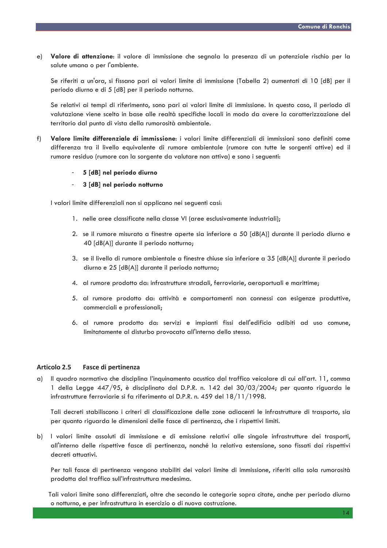Valore di attenzione: il valore di immissione che segnala la presenza di un potenziale rischio per la  $e)$ salute umana o per l'ambiente.

Se riferiti a un'ora, si fissano pari ai valori limite di immissione (Tabella 2) aumentati di 10 [dB] per il periodo diurno e di 5 [dB] per il periodo notturno.

Se relativi ai tempi di riferimento, sono pari ai valori limite di immissione. In questo caso, il periodo di valutazione viene scelto in base alle realtà specifiche locali in modo da avere la caratterizzazione del territorio dal punto di vista della rumorosità ambientale.

Valore limite differenziale di immissione: i valori limite differenziali di immissioni sono definiti come  $f)$ differenza tra il livello equivalente di rumore ambientale (rumore con tutte le sorgenti attive) ed il rumore residuo (rumore con la sorgente da valutare non attiva) e sono i seguenti:

## 5 [dB] nel periodo diurno

3 [dB] nel periodo notturno

I valori limite differenziali non si applicano nei seguenti casi:

- 1. nelle aree classificate nella classe VI (aree esclusivamente industriali);
- 2. se il rumore misurato a finestre aperte sia inferiore a 50 [dB(A)] durante il periodo diurno e 40 [dB(A)] durante il periodo notturno;
- 3. se il livello di rumore ambientale a finestre chiuse sia inferiore a 35 [dB(A)] durante il periodo diurno e 25 [dB(A)] durante il periodo notturno;
- 4. al rumore prodotto da: infrastrutture stradali, ferroviarie, aeroportuali e marittime:
- 5. al rumore prodotto da: attività e comportamenti non connessi con esigenze produttive, commerciali e professionali;
- 6. al rumore prodotto da: servizi e impianti fissi dell'edificio adibiti ad uso comune, limitatamente al disturbo provocato all'interno dello stesso.

#### **Articolo 2.5 Fasce di pertinenza**

Il quadro normativo che disciplina l'inquinamento acustico dal traffico veicolare di cui all'art. 11, comma  $\alpha$ ) 1 della Legge 447/95, è disciplinato dal D.P.R. n. 142 del 30/03/2004; per quanto riguarda le infrastrutture ferroviarie si fa riferimento al D.P.R. n. 459 del 18/11/1998.

Tali decreti stabiliscono i criteri di classificazione delle zone adiacenti le infrastrutture di trasporto, sia per quanto riguarda le dimensioni delle fasce di pertinenza, che i rispettivi limiti.

b) I valori limite assoluti di immissione e di emissione relativi alle singole infrastrutture dei trasporti, all'interno delle rispettive fasce di pertinenza, nonché la relativa estensione, sono fissati dai rispettivi decreti attuativi.

Per tali fasce di pertinenza vengono stabiliti dei valori limite di immissione, riferiti alla sola rumorosità prodotta dal traffico sull'infrastruttura medesima.

Tali valori limite sono differenziati, oltre che secondo le categorie sopra citate, anche per periodo diurno o notturno, e per infrastruttura in esercizio o di nuova costruzione.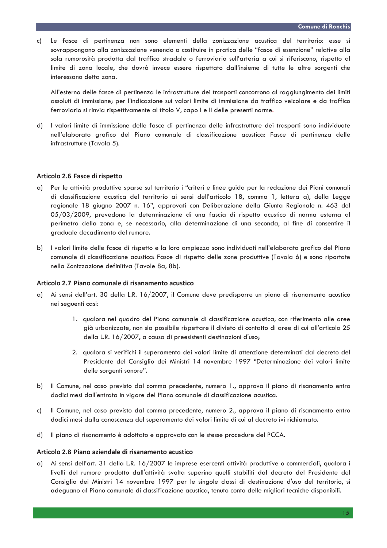Le fasce di pertinenza non sono elementi della zonizzazione acustica del territorio: esse si  $\mathsf{c}$ ) sovrappongono alla zonizzazione venendo a costituire in pratica delle "fasce di esenzione" relative alla sola rumorosità prodotta dal traffico stradale o ferroviario sull'arteria a cui si riferiscono, rispetto al limite di zona locale, che dovrà invece essere rispettato dall'insieme di tutte le altre sorgenti che interessano detta zona.

All'esterno delle fasce di pertinenza le infrastrutture dei trasporti concorrono al raggiungimento dei limiti assoluti di immissione; per l'indicazione sui valori limite di immissione da traffico veicolare e da traffico ferroviario si rinvia rispettivamente al titolo V, capo I e II delle presenti norme.

d) I valori limite di immissione delle fasce di pertinenza delle infrastrutture dei trasporti sono individuate nell'elaborato grafico del Piano comunale di classificazione acustica: Fasce di pertinenza delle infrastrutture (Tavola 5).

## Articolo 2.6 Fasce di rispetto

- Per le attività produttive sparse sul territorio i "criteri e linee guida per la redazione dei Piani comunali  $\alpha$ di classificazione acustica del territorio ai sensi dell'articolo 18, comma 1, lettera a), della Legge regionale 18 giugno 2007 n. 16", approvati con Deliberazione della Giunta Regionale n. 463 del 05/03/2009, prevedono la determinazione di una fascia di rispetto acustico di norma esterna al perimetro della zona e, se necessario, alla determinazione di una seconda, al fine di consentire il graduale decadimento del rumore.
- b) l valori limite delle fasce di rispetto e la loro ampiezza sono individuati nell'elaborato grafico del Piano comunale di classificazione acustica: Fasce di rispetto delle zone produttive (Tavola 6) e sono riportate nella Zonizzazione definitiva (Tavole 8a, 8b).

## Articolo 2.7 Piano comunale di risanamento acustico

- a) Ai sensi dell'art. 30 della L.R. 16/2007, il Comune deve predisporre un piano di risanamento acustico nei seguenti casi:
	- 1. qualora nel quadro del Piano comunale di classificazione acustica, con riferimento alle aree già urbanizzate, non sia possibile rispettare il divieto di contatto di aree di cui all'articolo 25 della L.R. 16/2007, a causa di preesistenti destinazioni d'uso;
	- 2. qualora si verifichi il superamento dei valori limite di attenzione determinati dal decreto del Presidente del Consiglio dei Ministri 14 novembre 1997 "Determinazione dei valori limite delle sorgenti sonore".
- b) Il Comune, nel caso previsto dal comma precedente, numero 1., approva il piano di risanamento entro dodici mesi dall'entrata in vigore del Piano comunale di classificazione acustica.
- Il Comune, nel caso previsto dal comma precedente, numero 2., approva il piano di risanamento entro  $c$ ) dodici mesi dalla conoscenza del superamento dei valori limite di cui al decreto ivi richiamato.
- d) Il piano di risanamento è adottato e approvato con le stesse procedure del PCCA.

# Articolo 2.8 Piano aziendale di risanamento acustico

a) Ai sensi dell'art. 31 della L.R. 16/2007 le imprese esercenti attività produttive o commerciali, qualora i livelli del rumore prodotto dall'attività svolta superino quelli stabiliti dal decreto del Presidente del Consiglio dei Ministri 14 novembre 1997 per le singole classi di destinazione d'uso del territorio, si adeguano al Piano comunale di classificazione acustica, tenuto conto delle migliori tecniche disponibili.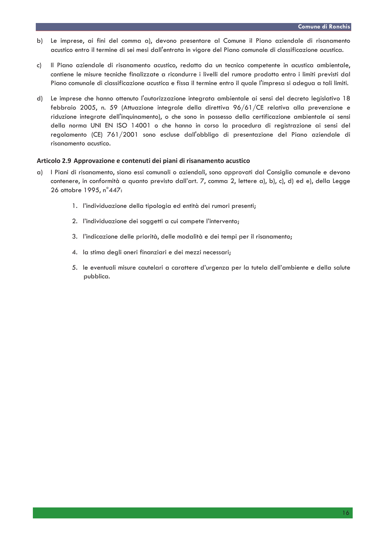- Le imprese, ai fini del comma a), devono presentare al Comune il Piano aziendale di risanamento b) acustico entro il termine di sei mesi dall'entrata in vigore del Piano comunale di classificazione acustica.
- Il Piano aziendale di risanamento acustico, redatto da un tecnico competente in acustica ambientale, c) contiene le misure tecniche finalizzate a ricondurre i livelli del rumore prodotto entro i limiti previsti dal Piano comunale di classificazione acustica e fissa il termine entro il quale l'impresa si adegua a tali limiti.
- Le imprese che hanno ottenuto l'autorizzazione integrata ambientale ai sensi del decreto legislativo 18 d) febbraio 2005, n. 59 (Attuazione integrale della direttiva 96/61/CE relativa alla prevenzione e riduzione integrate dell'inquinamento), o che sono in possesso della certificazione ambientale ai sensi della norma UNI EN ISO 14001 o che hanno in corso la procedura di registrazione ai sensi del regolamento (CE) 761/2001 sono escluse dall'obbligo di presentazione del Piano aziendale di risanamento acustico.

## Articolo 2.9 Approvazione e contenuti dei piani di risanamento acustico

- a) I Piani di risanamento, siano essi comunali o aziendali, sono approvati dal Consiglio comunale e devono contenere, in conformità a quanto previsto dall'art. 7, comma 2, lettere a), b), c), d) ed e), della Legge 26 ottobre 1995, n°447:
	- 1. l'individuazione della tipologia ed entità dei rumori presenti;
	- 2. l'individuazione dei soggetti a cui compete l'intervento;
	- 3. l'indicazione delle priorità, delle modalità e dei tempi per il risanamento;
	- 4. la stima degli oneri finanziari e dei mezzi necessari;
	- 5. le eventuali misure cautelari a carattere d'urgenza per la tutela dell'ambiente e della salute pubblica.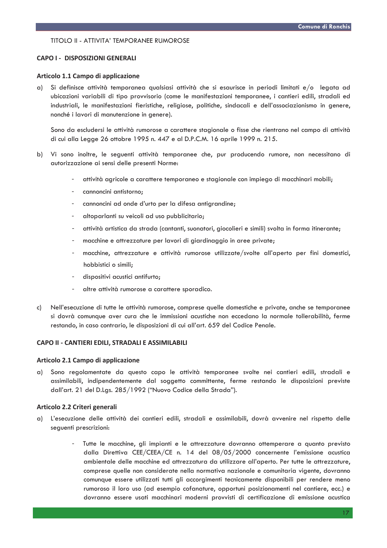## TITOLO II - ATTIVITA' TEMPORANEE RUMOROSE

## **CAPO I - DISPOSIZIONI GENERALI**

## Articolo 1.1 Campo di applicazione

Si definisce attività temporanea qualsiasi attività che si esaurisce in periodi limitati e/o legata ad a) ubicazioni variabili di tipo provvisorio (come le manifestazioni temporanee, i cantieri edili, stradali ed industriali, le manifestazioni fieristiche, religiose, politiche, sindacali e dell'associazionismo in genere, nonché i lavori di manutenzione in genere).

Sono da escludersi le attività rumorose a carattere stagionale o fisse che rientrano nel campo di attività di cui alla Legge 26 ottobre 1995 n. 447 e al D.P.C.M. 16 aprile 1999 n. 215.

- b) Vi sono inoltre, le seguenti attività temporanee che, pur producendo rumore, non necessitano di autorizzazione ai sensi delle presenti Norme:
	- attività agricole a carattere temporaneo e stagionale con impiego di macchinari mobili;
	- cannoncini antistorno;
	- cannoncini ad onde d'urto per la difesa antigrandine;
	- altoparlanti su veicoli ad uso pubblicitario;
	- attività artistica da strada (cantanti, suonatori, giocolieri e simili) svolta in forma itinerante;
	- macchine e attrezzature per lavori di giardinaggio in aree private;
	- macchine, attrezzature e attività rumorose utilizzate/svolte all'aperto per fini domestici, hobbistici o simili;
	- dispositivi acustici antifurto;
	- altre attività rumorose a carattere sporadico.
- $c)$ Nell'esecuzione di tutte le attività rumorose, comprese quelle domestiche e private, anche se temporanee si dovrà comunque aver cura che le immissioni acustiche non eccedano la normale tollerabilità, ferme restando, in caso contrario, le disposizioni di cui all'art. 659 del Codice Penale.

#### CAPO II - CANTIERI EDILI, STRADALI E ASSIMILABILI

#### Articolo 2.1 Campo di applicazione

Sono regolamentate da questo capo le attività temporanee svolte nei cantieri edili, stradali e a) assimilabili, indipendentemente dal soggetto committente, ferme restando le disposizioni previste dall'art. 21 del D.Lgs. 285/1992 ("Nuovo Codice della Strada").

#### Articolo 2.2 Criteri generali

- L'esecuzione delle attività dei cantieri edili, stradali e assimilabili, dovrà avvenire nel rispetto delle  $\bigcap$ seguenti prescrizioni:
	- Tutte le macchine, gli impianti e le attrezzature dovranno ottemperare a quanto previsto dalla Direttiva CEE/CEEA/CE n. 14 del 08/05/2000 concernente l'emissione acustica ambientale delle macchine ed attrezzatura da utilizzare all'aperto. Per tutte le attrezzature, comprese quelle non considerate nella normativa nazionale e comunitaria vigente, dovranno comunque essere utilizzati tutti gli accorgimenti tecnicamente disponibili per rendere meno rumoroso il loro uso (ad esempio cofanature, opportuni posizionamenti nel cantiere, ecc.) e dovranno essere usati macchinari moderni provvisti di certificazione di emissione acustica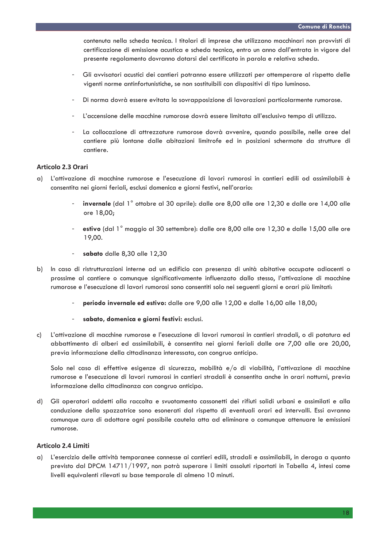contenuta nella scheda tecnica. I titolari di imprese che utilizzano macchinari non provvisti di certificazione di emissione acustica e scheda tecnica, entro un anno dall'entrata in vigore del presente regolamento dovranno dotarsi del certificato in parola e relativa scheda.

- Gli avvisatori acustici dei cantieri potranno essere utilizzati per ottemperare al rispetto delle vigenti norme antinfortunistiche, se non sostituibili con dispositivi di tipo luminoso.
- Di norma dovrà essere evitata la sovrapposizione di lavorazioni particolarmente rumorose.
- L'accensione delle macchine rumorose dovrà essere limitata all'esclusivo tempo di utilizzo.
- La collocazione di attrezzature rumorose dovrà avvenire, quando possibile, nelle aree del cantiere più lontane dalle abitazioni limitrofe ed in posizioni schermate da strutture di cantiere.

## Articolo 2.3 Orari

- a) L'attivazione di macchine rumorose e l'esecuzione di lavori rumorosi in cantieri edili od assimilabili è consentita nei giorni feriali, esclusi domenica e giorni festivi, nell'orario:
	- invernale (dal 1° ottobre al 30 aprile): dalle ore 8,00 alle ore 12,30 e dalle ore 14,00 alle ore 18.00:
	- estivo (dal 1<sup>°</sup> maggio al 30 settembre): dalle ore 8,00 alle ore 12,30 e dalle 15,00 alle ore 19,00.
	- sabato dalle 8.30 alle 12.30
- b) In caso di ristrutturazioni interne ad un edificio con presenza di unità abitative occupate adiacenti o prossime al cantiere o comunque significativamente influenzato dallo stesso, l'attivazione di macchine rumorose e l'esecuzione di lavori rumorosi sono consentiti solo nei seguenti giorni e orari più limitati:
	- periodo invernale ed estivo: dalle ore 9,00 alle 12,00 e dalle 16,00 alle 18,00;
	- sabato, domenica e giorni festivi: esclusi.
- L'attivazione di macchine rumorose e l'esecuzione di lavori rumorosi in cantieri stradali, o di potatura ed  $c)$ abbattimento di alberi ed assimilabili, è consentita nei giorni feriali dalle ore 7,00 alle ore 20,00, previa informazione della cittadinanza interessata, con congruo anticipo.

Solo nel caso di effettive esigenze di sicurezza, mobilità e/o di viabilità, l'attivazione di macchine rumorose e l'esecuzione di lavori rumorosi in cantieri stradali è consentita anche in orari notturni, previa informazione della cittadinanza con congruo anticipo.

Gli operatori addetti alla raccolta e svuotamento cassonetti dei rifiuti solidi urbani e assimilati e alla  $d)$ conduzione della spazzatrice sono esonerati dal rispetto di eventuali orari ed intervalli. Essi avranno comunque cura di adottare ogni possibile cautela atta ad eliminare o comunque attenuare le emissioni rumorose.

## **Articolo 2.4 Limiti**

a) L'esercizio delle attività temporanee connesse ai cantieri edili, stradali e assimilabili, in deroga a quanto previsto dal DPCM 14711/1997, non potrà superare i limiti assoluti riportati in Tabella 4, intesi come livelli equivalenti rilevati su base temporale di almeno 10 minuti.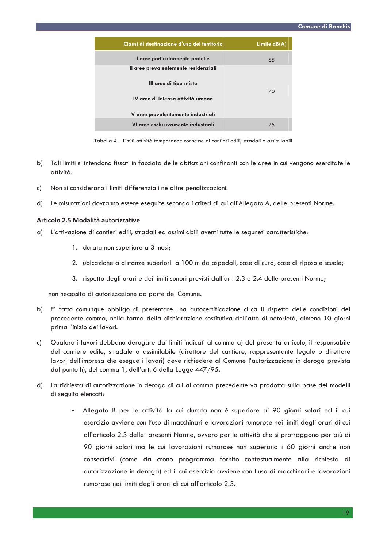| Classi di destinazione d'uso del territorio | Limite $dB(A)$ |
|---------------------------------------------|----------------|
| I aree particolarmente protette             | 65             |
| Il aree prevalentemente residenziali        |                |
| Ill aree di tipo misto                      |                |
| IV aree di intensa attività umana           | 70             |
|                                             |                |
| V aree prevalentemente industriali          |                |
| VI aree esclusivamente industriali          | 75             |

Tabella 4 - Limiti attività temporanee connesse ai cantieri edili, stradali e assimilabili

- b) Tali limiti si intendono fissati in facciata delle abitazioni confinanti con le aree in cui vengono esercitate le attività.
- Non si considerano i limiti differenziali né altre penalizzazioni.  $c)$
- Le misurazioni dovranno essere eseguite secondo i criteri di cui all'Allegato A, delle presenti Norme.  $d)$

#### Articolo 2.5 Modalità autorizzative

- a) L'attivazione di cantieri edili, stradali ed assimilabili aventi tutte le sequneti caratteristiche:
	- 1. durata non superiore a 3 mesi;
	- 2. ubicazione a distanze superiori a 100 m da ospedali, case di cura, case di riposo e scuole:
	- 3. rispetto degli orari e dei limiti sonori previsti dall'art. 2.3 e 2.4 delle presenti Norme;

non necessita di autorizzazione da parte del Comune.

- b) E' fatto comunque obbligo di presentare una autocertificazione circa il rispetto delle condizioni del precedente comma, nella forma della dichiarazione sostitutiva dell'atto di notorietà, almeno 10 giorni prima l'inizio dei lavori.
- Qualora i lavori debbano derogare dai limiti indicati al comma a) del presenta articolo, il responsabile c) del cantiere edile, stradale o assimilabile (direttore del cantiere, rappresentante legale o direttore lavori dell'impresa che esegue i lavori) deve richiedere al Comune l'autorizzazione in deroga prevista dal punto h), del comma 1, dell'art. 6 della Legge 447/95.
- d) La richiesta di autorizzazione in deroga di cui al comma precedente va prodotta sulla base dei modelli di seguito elencati:
	- Allegato B per le attività la cui durata non è superiore ai 90 giorni solari ed il cui esercizio avviene con l'uso di macchinari e lavorazioni rumorose nei limiti degli orari di cui all'articolo 2.3 delle presenti Norme, ovvero per le attività che si protraggono per più di 90 giorni solari ma le cui lavorazioni rumorose non superano i 60 giorni anche non consecutivi (come da crono programma fornito contestualmente alla richiesta di autorizzazione in deroga) ed il cui esercizio avviene con l'uso di macchinari e lavorazioni rumorose nei limiti degli orari di cui all'articolo 2.3.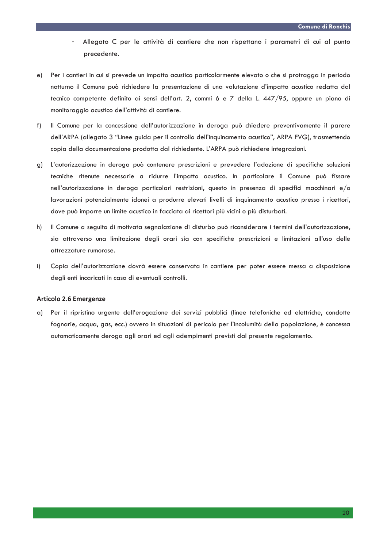- Allegato C per le attività di cantiere che non rispettano i parametri di cui al punto precedente.
- Per i cantieri in cui si prevede un impatto acustico particolarmente elevato o che si protragga in periodo  $e)$ notturno il Comune può richiedere la presentazione di una valutazione d'impatto acustico redatta dal tecnico competente definito ai sensi dell'art. 2, commi 6 e 7 della L. 447/95, oppure un piano di monitoraggio acustico dell'attività di cantiere.
- $f$ ) Il Comune per la concessione dell'autorizzazione in deroga può chiedere preventivamente il parere dell'ARPA (allegato 3 "Linee guida per il controllo dell'inquinamento acustico", ARPA FVG), trasmettendo copia della documentazione prodotta dal richiedente. L'ARPA può richiedere integrazioni.
- g) L'autorizzazione in deroga può contenere prescrizioni e prevedere l'adozione di specifiche soluzioni tecniche ritenute necessarie a ridurre l'impatto acustico. In particolare il Comune può fissare nell'autorizzazione in deroga particolari restrizioni, questo in presenza di specifici macchinari e/o lavorazioni potenzialmente idonei a produrre elevati livelli di inquinamento acustico presso i ricettori, dove può imporre un limite acustico in facciata ai ricettori più vicini o più disturbati.
- Il Comune a seguito di motivata segnalazione di disturbo può riconsiderare i termini dell'autorizzazione, h) sia attraverso una limitazione degli orari sia con specifiche prescrizioni e limitazioni all'uso delle attrezzature rumorose.
- $i)$ Copia dell'autorizzazione dovrà essere conservata in cantiere per poter essere messa a disposizione degli enti incaricati in caso di eventuali controlli.

#### **Articolo 2.6 Emergenze**

Per il ripristino urgente dell'erogazione dei servizi pubblici (linee telefoniche ed elettriche, condotte  $\alpha$ ) fognarie, acqua, gas, ecc.) ovvero in situazioni di pericolo per l'incolumità della popolazione, è concessa automaticamente deroga agli orari ed agli adempimenti previsti dal presente regolamento.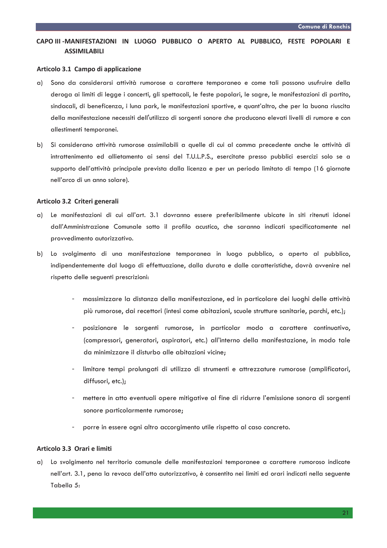# CAPO III - MANIFESTAZIONI IN LUOGO PUBBLICO O APERTO AL PUBBLICO. FESTE POPOLARI E **ASSIMILABILI**

## Articolo 3.1 Campo di applicazione

- Sono da considerarsi attività rumorose a carattere temporaneo e come tali possono usufruire della  $\alpha$ ) deroga ai limiti di legge i concerti, gli spettacoli, le feste popolari, le sagre, le manifestazioni di partito, sindacali, di beneficenza, i luna park, le manifestazioni sportive, e quant'altro, che per la buona riuscita della manifestazione necessiti dell'utilizzo di sorgenti sonore che producono elevati livelli di rumore e con allestimenti temporanei.
- b) Si considerano attività rumorose assimilabili a quelle di cui al comma precedente anche le attività di intrattenimento ed allietamento ai sensi del T.U.L.P.S., esercitate presso pubblici esercizi solo se a supporto dell'attività principale prevista dalla licenza e per un periodo limitato di tempo (16 giornate nell'arco di un anno solare).

#### Articolo 3.2 Criteri generali

- Le manifestazioni di cui all'art. 3.1 dovranno essere preferibilmente ubicate in siti ritenuti idonei a) dall'Amministrazione Comunale sotto il profilo acustico, che saranno indicati specificatamente nel provvedimento autorizzativo.
- b) Lo svolgimento di una manifestazione temporanea in luogo pubblico, o aperto al pubblico, indipendentemente dal luogo di effettuazione, dalla durata e dalle caratteristiche, dovrà avvenire nel rispetto delle seguenti prescrizioni:
	- massimizzare la distanza della manifestazione, ed in particolare dei luoghi delle attività più rumorose, dai recettori (intesi come abitazioni, scuole strutture sanitarie, parchi, etc.);
	- posizionare le sorgenti rumorose, in particolar modo a carattere continuativo, (compressori, generatori, aspiratori, etc.) all'interno della manifestazione, in modo tale da minimizzare il disturbo alle abitazioni vicine;
	- limitare tempi prolungati di utilizzo di strumenti e attrezzature rumorose (amplificatori, diffusori, etc.);
	- mettere in atto eventuali opere mitigative al fine di ridurre l'emissione sonora di sorgenti sonore particolarmente rumorose;
	- porre in essere ogni altro accorgimento utile rispetto al caso concreto.

## Articolo 3.3 Orari e limiti

a) Lo svolgimento nel territorio comunale delle manifestazioni temporanee a carattere rumoroso indicate nell'art. 3.1, pena la revoca dell'atto autorizzativo, è consentito nei limiti ed orari indicati nella seguente Tabella 5: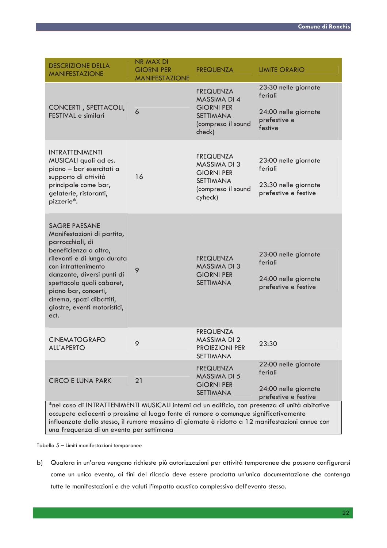| <b>DESCRIZIONE DELLA</b><br><b>MANIFESTAZIONE</b>                                                                                                                                                                                                                                                                                    | <b>NR MAX DI</b><br><b>GIORNI PER</b><br><b>MANIFESTAZIONE</b> | <b>FREQUENZA</b>                                                                                                  | <b>LIMITE ORARIO</b>                                                               |  |  |  |
|--------------------------------------------------------------------------------------------------------------------------------------------------------------------------------------------------------------------------------------------------------------------------------------------------------------------------------------|----------------------------------------------------------------|-------------------------------------------------------------------------------------------------------------------|------------------------------------------------------------------------------------|--|--|--|
| CONCERTI, SPETTACOLI,<br>FESTIVAL e similari                                                                                                                                                                                                                                                                                         | 6                                                              | <b>FREQUENZA</b><br><b>MASSIMA DI 4</b><br><b>GIORNI PER</b><br><b>SETTIMANA</b><br>(compreso il sound<br>check)  | 23:30 nelle giornate<br>feriali<br>24:00 nelle giornate<br>prefestive e<br>festive |  |  |  |
| <b>INTRATTENIMENTI</b><br>MUSICALI quali ad es.<br>piano - bar esercitati a<br>supporto di attività<br>principale come bar,<br>gelaterie, ristoranti,<br>pizzerie*.                                                                                                                                                                  | 16                                                             | <b>FREQUENZA</b><br><b>MASSIMA DI 3</b><br><b>GIORNI PER</b><br><b>SETTIMANA</b><br>(compreso il sound<br>cyheck) | 23:00 nelle giornate<br>feriali<br>23:30 nelle giornate<br>prefestive e festive    |  |  |  |
| <b>SAGRE PAESANE</b><br>Manifestazioni di partito,<br>parrocchiali, di<br>beneficienza o altro,<br>rilevanti e di lunga durata<br>con intrattenimento<br>danzante, diversi punti di<br>spettacolo quali cabaret,<br>piano bar, concerti,<br>cinema, spazi dibattiti,<br>giostre, eventi motoristici,<br>ect.                         | 9                                                              | <b>FREQUENZA</b><br><b>MASSIMA DI 3</b><br><b>GIORNI PER</b><br><b>SETTIMANA</b>                                  | 23:00 nelle giornate<br>feriali<br>24:00 nelle giornate<br>prefestive e festive    |  |  |  |
| <b>CINEMATOGRAFO</b><br><b>ALL'APERTO</b>                                                                                                                                                                                                                                                                                            | 9                                                              | <b>FREQUENZA</b><br><b>MASSIMA DI 2</b><br><b>PROIEZIONI PER</b><br><b>SETTIMANA</b>                              | 23:30                                                                              |  |  |  |
| <b>CIRCO E LUNA PARK</b>                                                                                                                                                                                                                                                                                                             | 21                                                             | <b>FREQUENZA</b><br><b>MASSIMA DI 5</b><br><b>GIORNI PER</b><br><b>SETTIMANA</b>                                  | 22:00 nelle giornate<br>feriali<br>24:00 nelle giornate<br>prefestive e festive    |  |  |  |
| *nel caso di INTRATTENIMENTI MUSICALI interni ad un edificio, con presenza di unità abitative<br>occupate adiacenti o prossime al luogo fonte di rumore o comunque significativamente<br>influenzate dallo stesso, il rumore massimo di giornate è ridotto a 12 manifestazioni annue con<br>una frequenza di un evento per settimana |                                                                |                                                                                                                   |                                                                                    |  |  |  |

Tabella 5 - Limiti manifestazioni temporanee

b) Qualora in un'area vengano richieste più autorizzazioni per attività temporanee che possono configurarsi come un unico evento, ai fini del rilascio deve essere prodotta un'unica documentazione che contenga tutte le manifestazioni e che valuti l'impatto acustico complessivo dell'evento stesso.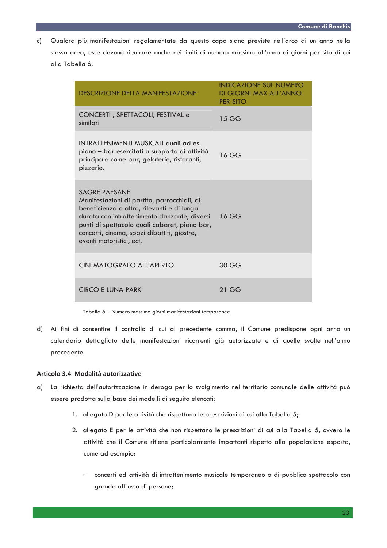Qualora più manifestazioni regolamentate da questo capo siano previste nell'arco di un anno nella  $c)$ stessa area, esse devono rientrare anche nei limiti di numero massimo all'anno di giorni per sito di cui alla Tabella 6.

| <b>DESCRIZIONE DELLA MANIFESTAZIONE</b>                                                                                                                                                                                                                                                       | <b>INDICAZIONE SUL NUMERO</b><br>DI GIORNI MAX ALL'ANNO<br><b>PER SITO</b> |
|-----------------------------------------------------------------------------------------------------------------------------------------------------------------------------------------------------------------------------------------------------------------------------------------------|----------------------------------------------------------------------------|
| CONCERTI, SPETTACOLI, FESTIVAL e<br>similari                                                                                                                                                                                                                                                  | 15 GG                                                                      |
| INTRATTENIMENTI MUSICALI quali ad es.<br>piano - bar esercitati a supporto di attività<br>principale come bar, gelaterie, ristoranti,<br>pizzerie.                                                                                                                                            | 16 GG                                                                      |
| <b>SAGRE PAESANE</b><br>Manifestazioni di partito, parrocchiali, di<br>beneficienza o altro, rilevanti e di lunga<br>durata con intrattenimento danzante, diversi<br>punti di spettacolo quali cabaret, piano bar,<br>concerti, cinema, spazi dibattiti, giostre,<br>eventi motoristici, ect. | 16 GG                                                                      |
| CINEMATOGRAFO ALL'APERTO                                                                                                                                                                                                                                                                      | 30 GG                                                                      |
| <b>CIRCO E LUNA PARK</b>                                                                                                                                                                                                                                                                      | $21$ GG                                                                    |

Tabella 6 - Numero massimo giorni manifestazioni temporanee

d) Ai fini di consentire il controllo di cui al precedente comma, il Comune predispone ogni anno un calendario dettagliato delle manifestazioni ricorrenti già autorizzate e di quelle svolte nell'anno precedente.

## Articolo 3.4 Modalità autorizzative

- a) La richiesta dell'autorizzazione in deroga per lo svolgimento nel territorio comunale delle attività può essere prodotta sulla base dei modelli di seguito elencati:
	- 1. allegato D per le attività che rispettano le prescrizioni di cui alla Tabella 5;
	- 2. allegato E per le attività che non rispettano le prescrizioni di cui alla Tabella 5, ovvero le attività che il Comune ritiene particolarmente impattanti rispetto alla popolazione esposta, come ad esempio:
		- concerti ed attività di intrattenimento musicale temporaneo o di pubblico spettacolo con grande afflusso di persone;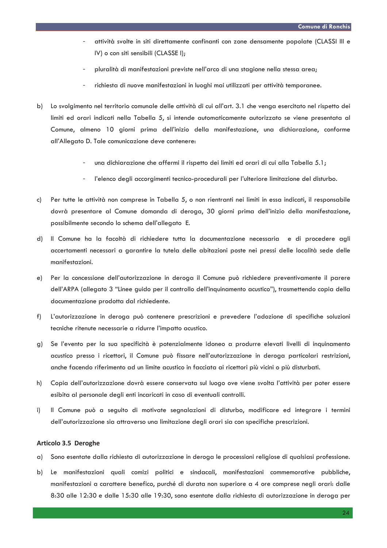- attività svolte in siti direttamente confinanti con zone densamente popolate (CLASSI III e IV) o con siti sensibili (CLASSE I):
- pluralità di manifestazioni previste nell'arco di una stagione nella stessa greg:
- richiesta di nuove manifestazioni in luoghi mai utilizzati per attività temporanee.
- b) Lo svolgimento nel territorio comunale delle attività di cui all'art. 3.1 che venga esercitato nel rispetto dei limiti ed orari indicati nella Tabella 5, si intende automaticamente autorizzato se viene presentata al Comune, almeno 10 giorni prima dell'inizio della manifestazione, una dichiarazione, conforme all'Allegato D. Tale comunicazione deve contenere:
	- una dichiarazione che affermi il rispetto dei limiti ed orari di cui alla Tabella 5.1;
	- l'elenco degli accorgimenti tecnico-procedurali per l'ulteriore limitazione del disturbo.
- Per tutte le attività non comprese in Tabella 5, o non rientranti nei limiti in essa indicati, il responsabile c) dovrà presentare al Comune domanda di deroga, 30 giorni prima dell'inizio della manifestazione, possibilmente secondo lo schema dell'allegato E.
- d) Il Comune ha la facoltà di richiedere tutta la documentazione necessaria e di procedere agli accertamenti necessari a garantire la tutela delle abitazioni poste nei pressi delle località sede delle manifestazioni.
- Per la concessione dell'autorizzazione in deroga il Comune può richiedere preventivamente il parere  $e)$ dell'ARPA (allegato 3 "Linee guido per il controllo dell'inquinamento acustico"), trasmettendo copia della documentazione prodotta dal richiedente.
- L'autorizzazione in deroga può contenere prescrizioni e prevedere l'adozione di specifiche soluzioni  $f$ ) tecniche ritenute necessarie a ridurre l'impatto acustico.
- Se l'evento per la sua specificità è potenzialmente idoneo a produrre elevati livelli di inquinamento a) acustico presso i ricettori, il Comune può fissare nell'autorizzazione in deroga particolari restrizioni, anche facendo riferimento ad un limite acustico in facciata ai ricettori più vicini o più disturbati.
- Copia dell'autorizzazione dovrà essere conservata sul luogo ove viene svolta l'attività per poter essere h) esibita al personale degli enti incaricati in caso di eventuali controlli.
- Il Comune può a seguito di motivate segnalazioni di disturbo, modificare ed integrare i termini  $\mathbf{i}$ dell'autorizzazione sia attraverso una limitazione degli orari sia con specifiche prescrizioni.

#### Articolo 3.5 Deroghe

- a) Sono esentate dalla richiesta di autorizzazione in deroga le processioni religiose di qualsiasi professione.
- Le manifestazioni quali comizi politici e sindacali, manifestazioni commemorative pubbliche, b) manifestazioni a carattere benefico, purché di durata non superiore a 4 ore comprese negli orari: dalle 8:30 alle 12:30 e dalle 15:30 alle 19:30, sono esentate dalla richiesta di autorizzazione in deroga per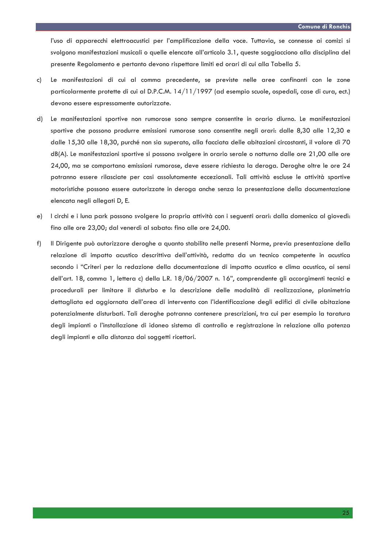l'uso di apparecchi elettroacustici per l'amplificazione della voce. Tuttavia, se connesse ai comizi si svolgono manifestazioni musicali o quelle elencate all'articolo 3.1, queste soggiacciono alla disciplina del presente Regolamento e pertanto devono rispettare limiti ed orari di cui alla Tabella 5.

- Le manifestazioni di cui al comma precedente, se previste nelle aree confinanti con le zone c) particolarmente protette di cui al D.P.C.M. 14/11/1997 (ad esempio scuole, ospedali, case di cura, ect.) devono essere espressamente autorizzate.
- $d$ ) Le manifestazioni sportive non rumorose sono sempre consentite in orario diurno. Le manifestazioni sportive che possono produrre emissioni rumorose sono consentite negli orari: dalle 8,30 alle 12,30 e dalle 15,30 alle 18,30, purché non sia superato, alla facciata delle abitazioni circostanti, il valore di 70 dB(A). Le manifestazioni sportive si possono svolgere in orario serale o notturno dalle ore 21,00 alle ore 24,00, ma se comportano emissioni rumorose, deve essere richiesta la deroga. Deroghe oltre le ore 24 potranno essere rilasciate per casi assolutamente eccezionali. Tali attività escluse le attività sportive motoristiche possono essere autorizzate in deroga anche senza la presentazione della documentazione elencata negli allegati D, E.
- I circhi e i luna park possono svolgere la propria attività con i seguenti orari: dalla domenica al giovedì: e) fino alle ore 23,00; dal venerdì al sabato: fino alle ore 24,00.
- $f$ ) Il Dirigente può autorizzare deroghe a quanto stabilito nelle presenti Norme, previa presentazione della relazione di impatto acustico descrittiva dell'attività, redatta da un tecnico competente in acustica secondo i "Criteri per la redazione della documentazione di impatto acustico e clima acustico, ai sensi dell'art. 18, comma 1, lettera c) della L.R. 18/06/2007 n. 16", comprendente gli accorgimenti tecnici e procedurali per limitare il disturbo e la descrizione delle modalità di realizzazione, planimetria dettagliata ed aggiornata dell'area di intervento con l'identificazione degli edifici di civile abitazione potenzialmente disturbati. Tali deroghe potranno contenere prescrizioni, tra cui per esempio la taratura degli impianti o l'installazione di idoneo sistema di controllo e registrazione in relazione alla potenza degli impianti e alla distanza dai soggetti ricettori.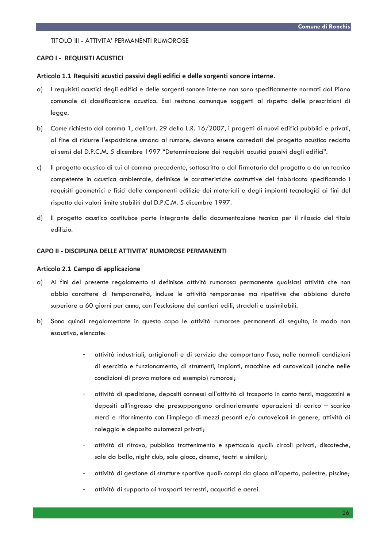#### TITOLO III - ATTIVITA' PERMANENTI RUMOROSE

#### **CAPO I - REQUISITI ACUSTICI**

#### Articolo 1.1 Requisiti acustici passivi degli edifici e delle sorgenti sonore interne.

- a) l requisisti acustici degli edifici e delle sorgenti sonore interne non sono specificamente normati dal Piano comunale di classificazione acustica. Essi restano comunque soggetti al rispetto delle prescrizioni di legge.
- b) Come richiesto dal comma 1, dell'art. 29 della L.R. 16/2007, i progetti di nuovi edifici pubblici e privati, al fine di ridurre l'esposizione umana al rumore, devono essere corredati del progetto acustico redatto ai sensi del D.P.C.M. 5 dicembre 1997 "Determinazione dei requisiti acustici passivi degli edifici".
- Il progetto acustico di cui al comma precedente, sottoscritto o dal firmatario del progetto o da un tecnico  $c)$ competente in acustica ambientale, definisce le caratteristiche costruttive del fabbricato specificando i requisiti geometrici e fisici delle componenti edilizie dei materiali e degli impianti tecnologici ai fini del rispetto dei valori limite stabiliti dal D.P.C.M. 5 dicembre 1997.
- Il progetto acustico costituisce parte integrante della documentazione tecnica per il rilascio del titolo  $d)$ edilizio.

## CAPO II - DISCIPLINA DELLE ATTIVITA' RUMOROSE PERMANENTI

## Articolo 2.1 Campo di applicazione

- a) Ai fini del presente regolamento si definisce attività rumorosa permanente qualsiasi attività che non abbia carattere di temporaneità, incluse le attività temporanee ma ripetitive che abbiano durato superiore a 60 giorni per anno, con l'esclusione dei cantieri edili, stradali e assimilabili.
- b) Sono quindi regolamentate in questo capo le attività rumorose permanenti di seguito, in modo non esaustivo, elencate:
	- attività industriali, artigianali e di servizio che comportano l'uso, nelle normali condizioni di esercizio e funzionamento, di strumenti, impianti, macchine ed autoveicoli (anche nelle condizioni di prova motore ad esempio) rumorosi;
	- attività di spedizione, depositi connessi all'attività di trasporto in conto terzi, magazzini e depositi all'ingrosso che presuppongono ordinariamente operazioni di carico - scarico merci e rifornimento con l'impiego di mezzi pesanti e/o autoveicoli in genere, attività di noleggio e deposito automezzi privati;
	- attività di ritrovo, pubblico trattenimento e spettacolo quali: circoli privati, discoteche, sale da ballo, night club, sale gioco, cinema, teatri e similari;
	- attività di gestione di strutture sportive quali: campi da gioco all'aperto, palestre, piscine;
	- attività di supporto ai trasporti terrestri, acquatici e aerei.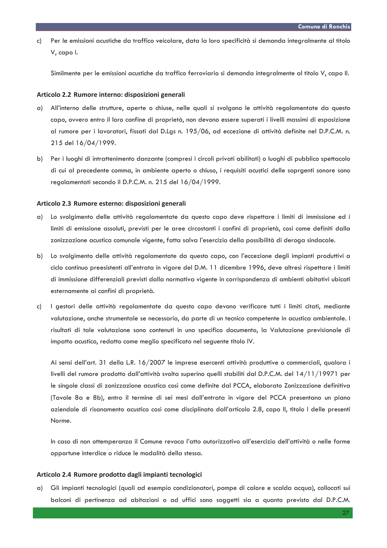Per le emissioni acustiche da traffico veicolare, data la loro specificità si demanda integralmente al titolo  $c)$ V, capo I.

Similmente per le emissioni acustiche da traffico ferroviario si demanda integralmente al titolo V, capo II.

#### Articolo 2.2 Rumore interno: disposizioni generali

- a) All'interno delle strutture, aperte o chiuse, nelle quali si svolgono le attività regolamentate da questo capo, ovvero entro il loro confine di proprietà, non devono essere superati i livelli massimi di esposizione al rumore per i lavoratori, fissati dal D.Lgs n. 195/06, ad eccezione di attività definite nel D.P.C.M. n. 215 del 16/04/1999.
- b) Per i luoghi di intrattenimento danzante (compresi i circoli privati abilitati) o luoghi di pubblico spettacolo di cui al precedente comma, in ambiente aperto o chiuso, i requisiti acustici delle soprgenti sonore sono regolamentati secondo il D.P.C.M. n. 215 del 16/04/1999.

## Articolo 2.3 Rumore esterno: disposizioni generali

- Lo svolgimento delle attività regolamentate da questo capo deve rispettare i limiti di immissione ed i  $\alpha$ limiti di emissione assoluti, previsti per le aree circostanti i confini di proprietà, così come definiti dalla zonizzazione acustica comunale vigente, fatta salva l'esercizio della possibilità di deroga sindacale.
- b) Lo svolgimento delle attività regolamentate da questo capo, con l'eccezione degli impianti produttivi a ciclo continuo preesistenti all'entrata in vigore del D.M. 11 dicembre 1996, deve altresì rispettare i limiti di immissione differenziali previsti dalla normativa vigente in corrispondenza di ambienti abitativi ubicati esternamente ai confini di proprietà.
- I gestori delle attività regolamentate da questo capo devono verificare tutti i limiti citati, mediante C) valutazione, anche strumentale se necessario, da parte di un tecnico competente in acustica ambientale. I risultati di tale valutazione sono contenuti in uno specifico documento, la Valutazione previsionale di impatto acustico, redatto come meglio specificato nel seguente titolo IV.

Ai sensi dell'art. 31 della L.R. 16/2007 le imprese esercenti attività produttive o commerciali, qualora i livelli del rumore prodotto dall'attività svolta superino quelli stabiliti dal D.P.C.M. del 14/11/19971 per le singole classi di zonizzazione acustica così come definite dal PCCA, elaborato Zonizzazione definitiva (Tavole 8a e 8b), entro il termine di sei mesi dall'entrata in vigore del PCCA presentano un piano aziendale di risanamento acustico così come disciplinato dall'articolo 2.8, capo II, titolo I delle presenti Norme.

In caso di non ottemperanza il Comune revoca l'atto autorizzativo all'esercizio dell'attività o nelle forme opportune interdice o riduce le modalità della stessa.

## Articolo 2.4 Rumore prodotto dagli impianti tecnologici

a) Gli impianti tecnologici (quali ad esempio condizionatori, pompe di calore e scalda acqua), collocati sui balconi di pertinenza ad abitazioni o ad uffici sono soggetti sia a quanto previsto dal D.P.C.M.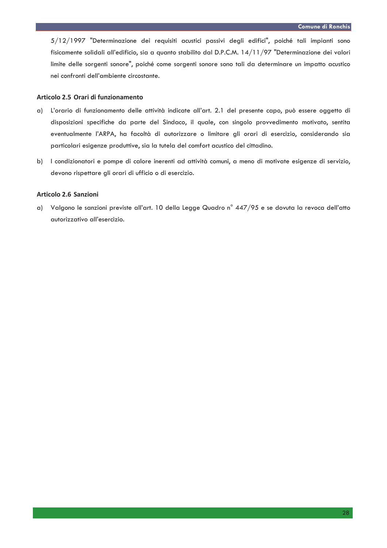5/12/1997 "Determinazione dei requisiti acustici passivi degli edifici", poiché tali impianti sono fisicamente solidali all'edificio, sia a quanto stabilito dal D.P.C.M. 14/11/97 "Determinazione dei valori limite delle sorgenti sonore", poiché come sorgenti sonore sono tali da determinare un impatto acustico nei confronti dell'ambiente circostante.

## Articolo 2.5 Orari di funzionamento

- a) L'orario di funzionamento delle attività indicate all'art. 2.1 del presente capo, può essere oggetto di disposizioni specifiche da parte del Sindaco, il quale, con singolo provvedimento motivato, sentita eventualmente l'ARPA, ha facoltà di autorizzare o limitare gli orari di esercizio, considerando sia particolari esigenze produttive, sia la tutela del comfort acustico del cittadino.
- b) l condizionatori e pompe di calore inerenti ad attività comuni, a meno di motivate esigenze di servizio, devono rispettare gli orari di ufficio o di esercizio.

## Articolo 2.6 Sanzioni

a) Valgono le sanzioni previste all'art. 10 della Legge Quadro n° 447/95 e se dovuta la revoca dell'atto autorizzativo all'esercizio.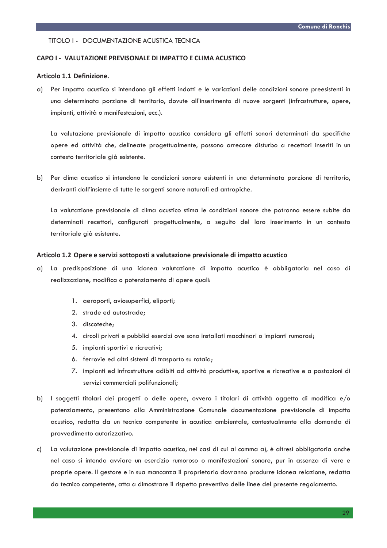## TITOLO I - DOCUMENTAZIONE ACUSTICA TECNICA

#### CAPO I - VALUTAZIONE PREVISONALE DI IMPATTO E CLIMA ACUSTICO

## Articolo 1.1 Definizione.

Per impatto acustico si intendono gli effetti indotti e le variazioni delle condizioni sonore preesistenti in  $\alpha$ ) una determinata porzione di territorio, dovute all'inserimento di nuove sorgenti (infrastrutture, opere, impianti, attività o manifestazioni, ecc.).

La valutazione previsionale di impatto acustico considera gli effetti sonori determinati da specifiche opere ed attività che, delineate progettualmente, possono arrecare disturbo a recettori inseriti in un contesto territoriale già esistente.

b) Per clima acustico si intendono le condizioni sonore esistenti in una determinata porzione di territorio, derivanti dall'insieme di tutte le sorgenti sonore naturali ed antropiche.

La valutazione previsionale di clima acustico stima le condizioni sonore che potranno essere subite da determinati recettori, configurati progettualmente, a seguito del loro inserimento in un contesto territoriale aià esistente.

#### Articolo 1.2 Opere e servizi sottoposti a valutazione previsionale di impatto acustico

- a) La predisposizione di una idonea valutazione di impatto acustico è obbligatoria nel caso di realizzazione, modifica o potenziamento di opere quali:
	- 1. aeroporti, aviosuperfici, eliporti;
	- 2. strade ed autostrade;
	- 3. discoteche;
	- 4. circoli privati e pubblici esercizi ove sono installati macchinari o impianti rumorosi;
	- 5. impianti sportivi e ricreativi;
	- 6. ferrovie ed altri sistemi di trasporto su rotaia;
	- 7. impianti ed infrastrutture adibiti ad attività produttive, sportive e ricreative e a postazioni di servizi commerciali polifunzionali;
- b) I soggetti titolari dei progetti o delle opere, ovvero i titolari di attività oggetto di modifica e/o potenziamento, presentano alla Amministrazione Comunale documentazione previsionale di impatto acustico, redatta da un tecnico competente in acustica ambientale, contestualmente alla domanda di provvedimento autorizzativo.
- La valutazione previsionale di impatto acustico, nei casi di cui al comma a), è altresì obbligatoria anche  $c)$ nel caso si intenda avviare un esercizio rumoroso o manifestazioni sonore, pur in assenza di vere e proprie opere. Il gestore e in sua mancanza il proprietario dovranno produrre idonea relazione, redatta da tecnico competente, atta a dimostrare il rispetto preventivo delle linee del presente regolamento.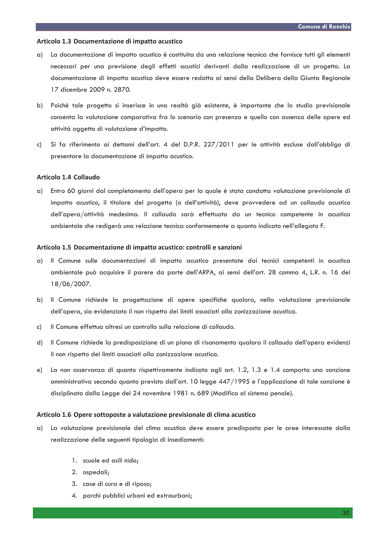#### Articolo 1.3 Documentazione di impatto acustico

- La documentazione di impatto acustico è costituita da una relazione tecnica che fornisce tutti gli elementi  $\alpha$ ) necessari per una previsione degli effetti acustici derivanti dalla realizzazione di un progetto. La documentazione di impatto acustico deve essere redatta ai sensi della Delibera della Giunta Regionale 17 dicembre 2009 n. 2870.
- b) Poiché tale progetto si inserisce in una realtà già esistente, è importante che lo studio previsionale consenta la valutazione comparativa fra lo scenario con presenza e quello con assenza delle opere ed attività oggetto di valutazione d'impatto.
- Si fa riferimento ai dettami dell'art. 4 del D.P.R. 227/2011 per le attività escluse dall'obbligo di  $\mathsf{c}$ presentare la documentazione di impatto acustico.

## Articolo 1.4 Collaudo

a) Entro 60 giorni dal completamento dell'opera per la quale è stata condotta valutazione previsionale di impatto acustico, il titolare del progetto (o dell'attività), deve provvedere ad un collaudo acustico dell'opera/attività medesima. Il collaudo sarà effettuato da un tecnico competente in acustica ambientale che redigerà una relazione tecnica conformemente a quanto indicato nell'allegato F.

## Articolo 1.5 Documentazione di impatto acustico: controlli e sanzioni

- Il Comune sulle documentazioni di impatto acustico presentate dai tecnici competenti in acustica a) ambientale può acquisire il parere da parte dell'ARPA, ai sensi dell'art. 28 comma 4, L.R. n. 16 del 18/06/2007.
- b) Il Comune richiede la progettazione di opere specifiche qualora, nella valutazione previsionale dell'opera, sia evidenziato il non rispetto dei limiti associati alla zonizzazione acustica.
- Il Comune effettua altresì un controllo sulla relazione di collaudo. c)
- Il Comune richiede la predisposizione di un piano di risanamento qualora il collaudo dell'opera evidenzi d) il non rispetto dei limiti associati alla zonizzazione acustica.
- La non osservanza di quanto rispettivamente indicato agli art. 1.2, 1.3 e 1.4 comporta una sanzione  $e)$ amministrativa secondo quanto previsto dall'art. 10 legge 447/1995 e l'applicazione di tale sanzione è disciplinata dalla Legge del 24 novembre 1981 n. 689 (Modifica al sistema penale).

#### Articolo 1.6 Opere sottoposte a valutazione previsionale di clima acustico

- a) La valutazione previsionale del clima acustico deve essere predisposta per le aree interessate dalla realizzazione delle seguenti tipologia di insediamenti:
	- 1. scuole ed asili nido:
	- 2. ospedali;
	- 3. case di cura e di riposo;
	- 4. parchi pubblici urbani ed extraurbani;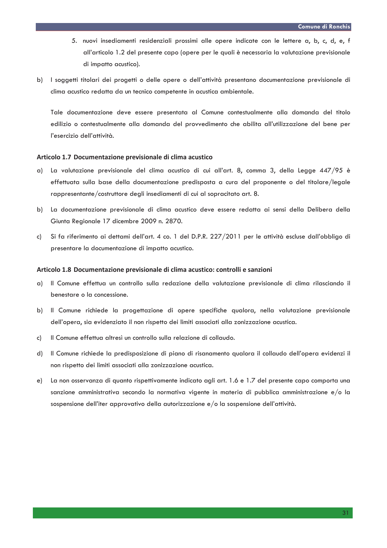- 5. nuovi insediamenti residenziali prossimi alle opere indicate con le lettere a, b, c, d, e, f all'articolo 1.2 del presente capo (opere per le quali è necessaria la valutazione previsionale di impatto acustico).
- b) I soggetti titolari dei progetti o delle opere o dell'attività presentano documentazione previsionale di clima acustico redatta da un tecnico competente in acustica ambientale.

Tale documentazione deve essere presentata al Comune contestualmente alla domanda del titolo edilizio o contestualmente alla domanda del provvedimento che abilita all'utilizzazione del bene per l'esercizio dell'attività.

#### Articolo 1.7 Documentazione previsionale di clima acustico

- a) La valutazione previsionale del clima acustico di cui all'art. 8, comma 3, della Legge 447/95 è effettuata sulla base della documentazione predisposta a cura del proponente o del titolare/legale rappresentante/costruttore degli insediamenti di cui al sopracitato art. 8.
- b) La documentazione previsionale di clima acustico deve essere redatta ai sensi della Delibera della Giunta Regionale 17 dicembre 2009 n. 2870.
- Si fa riferimento ai dettami dell'art. 4 co. 1 del D.P.R. 227/2011 per le attività escluse dall'obbligo di c) presentare la documentazione di impatto acustico.

#### Articolo 1.8 Documentazione previsionale di clima acustico: controlli e sanzioni

- Il Comune effettua un controllo sulla redazione della valutazione previsionale di clima rilasciando il  $\alpha$ benestare o la concessione.
- b) Il Comune richiede la progettazione di opere specifiche qualora, nella valutazione previsionale dell'opera, sia evidenziato il non rispetto dei limiti associati alla zonizzazione acustica.
- Il Comune effettua altresì un controllo sulla relazione di collaudo.  $c)$
- d) Il Comune richiede la predisposizione di piano di risanamento qualora il collaudo dell'opera evidenzi il non rispetto dei limiti associati alla zonizzazione acustica.
- La non osservanza di quanto rispettivamente indicato agli art. 1.6 e 1.7 del presente capo comporta una  $e)$ sanzione amministrativa secondo la normativa vigente in materia di pubblica amministrazione e/o la sospensione dell'iter approvativo della autorizzazione e/o la sospensione dell'attività.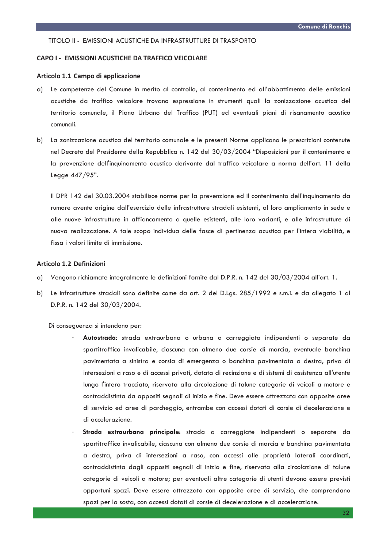#### TITOLO II - EMISSIONI ACUSTICHE DA INFRASTRUTTURE DI TRASPORTO

#### **CAPO I - EMISSIONI ACUSTICHE DA TRAFFICO VEICOLARE**

#### Articolo 1.1 Campo di applicazione

- a) Le competenze del Comune in merito al controllo, al contenimento ed all'abbattimento delle emissioni acustiche da traffico veicolare trovano espressione in strumenti quali la zonizzazione acustica del territorio comunale, il Piano Urbano del Traffico (PUT) ed eventuali piani di risanamento acustico comunali.
- b) La zonizzazione acustica del territorio comunale e le presenti Norme applicano le prescrizioni contenute nel Decreto del Presidente della Repubblica n. 142 del 30/03/2004 "Disposizioni per il contenimento e la prevenzione dell'inquinamento acustico derivante dal traffico veicolare a norma dell'art. 11 della Leage 447/95".

Il DPR 142 del 30.03.2004 stabilisce norme per la prevenzione ed il contenimento dell'inquinamento da rumore avente origine dall'esercizio delle infrastrutture stradali esistenti, al loro ampliamento in sede e alle nuove infrastrutture in affiancamento a quelle esistenti, alle loro varianti, e alle infrastrutture di nuova realizzazione. A tale scopo individua delle fasce di pertinenza acustica per l'intera viabilità, e fissa i valori limite di immissione.

## Articolo 1.2 Definizioni

- a) Vengono richiamate integralmente le definizioni fornite dal D.P.R. n. 142 del 30/03/2004 all'art. 1.
- Le infrastrutture stradali sono definite come da art. 2 del D.Lgs. 285/1992 e s.m.i. e da allegato 1 al b) D.P.R. n. 142 del 30/03/2004.

Di conseguenza si intendono per:

- Autostrada: strada extraurbana o urbana a carreggiata indipendenti o separate da spartitraffico invalicabile, ciascuna con almeno due corsie di marcia, eventuale banchina pavimentata a sinistra e corsia di emergenza o banchina pavimentata a destra, priva di intersezioni a raso e di accessi privati, dotata di recinzione e di sistemi di assistenza all'utente lungo l'intero tracciato, riservata alla circolazione di talune categorie di veicoli a motore e contraddistinta da appositi segnali di inizio e fine. Deve essere attrezzata con apposite aree di servizio ed aree di parcheggio, entrambe con accessi dotati di corsie di decelerazione e di accelerazione
- Strada extraurbana principale: strada a carreggiate indipendenti o separate da spartitraffico invalicabile, ciascuna con almeno due corsie di marcia e banchina pavimentata a destra, priva di intersezioni a raso, con accessi alle proprietà laterali coordinati, contraddistinta dagli appositi segnali di inizio e fine, riservata alla circolazione di talune categorie di veicoli a motore; per eventuali altre categorie di utenti devono essere previsti opportuni spazi. Deve essere attrezzata con apposite aree di servizio, che comprendano spazi per la sosta, con accessi dotati di corsie di decelerazione e di accelerazione.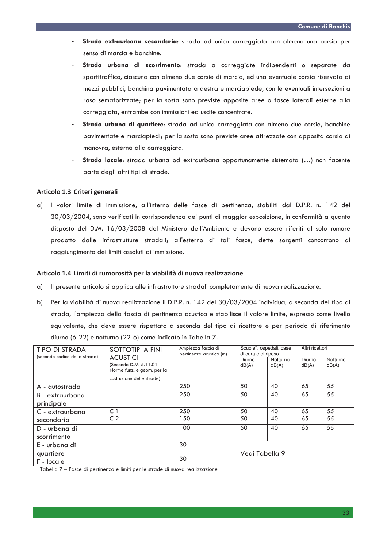- Strada extraurbana secondaria: strada ad unica carreggiata con almeno una corsia per senso di marcia e banchine.
- Strada urbana di scorrimento: strada a carreggiate indipendenti o separate da spartitraffico, ciascuna con almeno due corsie di marcia, ed una eventuale corsia riservata ai mezzi pubblici, banchina pavimentata a destra e marciapiede, con le eventuali intersezioni a raso semaforizzate; per la sosta sono previste apposite aree o fasce laterali esterne alla carreggiata, entrambe con immissioni ed uscite concentrate.
- Strada urbana di quartiere: strada ad unica carreggiata con almeno due corsie, banchine pavimentate e marciapiedi; per la sosta sono previste aree attrezzate con apposita corsia di manovra, esterna alla carreggiata.
- Strada locale: strada urbana od extraurbana opportunamente sistemata (...) non facente parte degli altri tipi di strade.

## Articolo 1.3 Criteri generali

a) I valori limite di immissione, all'interno delle fasce di pertinenza, stabiliti dal D.P.R. n. 142 del  $30/03/2004$ , sono verificati in corrispondenza dei punti di maggior esposizione, in conformità a quanto disposto del D.M. 16/03/2008 del Ministero dell'Ambiente e devono essere riferiti al solo rumore prodotto dalle infrastrutture stradali; all'esterno di tali fasce, dette sorgenti concorrono al raggiungimento dei limiti assoluti di immissione.

## Articolo 1.4 Limiti di rumorosità per la viabilità di nuova realizzazione

- a) Il presente articolo si applica alle infrastrutture stradali completamente di nuova realizzazione.
- b) Per la viabilità di nuova realizzazione il D.P.R. n. 142 del 30/03/2004 individua, a seconda del tipo di strada, l'ampiezza della fascia di pertinenza acustica e stabilisce il valore limite, espresso come livello equivalente, che deve essere rispettato a seconda del tipo di ricettore e per periodo di riferimento diurno (6-22) e notturno (22-6) come indicato in Tabella 7.

| <b>TIPO DI STRADA</b><br>(secondo codice della strada) | SOTTOTIPI A FINI                                                         | Ampiezza fascia di<br>pertinenza acustica (m) | Scuole*, ospedali, case<br>di cura e di riposo |                   | Altri ricettori |                   |
|--------------------------------------------------------|--------------------------------------------------------------------------|-----------------------------------------------|------------------------------------------------|-------------------|-----------------|-------------------|
|                                                        | <b>ACUSTICI</b><br>(Secondo D.M. 5.11.01 -<br>Norme funz. e geom. per la |                                               | Diurno<br>dB(A)                                | Notturno<br>dB(A) | Diurno<br>dB(A) | Notturno<br>dB(A) |
|                                                        | costruzione delle strade)                                                |                                               |                                                |                   |                 |                   |
| A - autostrada                                         |                                                                          | 250                                           | 50                                             | 40                | 65              | 55                |
| B - extraurbana                                        |                                                                          | 250                                           | 50                                             | 40                | 65              | 55                |
| principale                                             |                                                                          |                                               |                                                |                   |                 |                   |
| C - extraurbana                                        | $\subset$ 1                                                              | 250                                           | 50                                             | 40                | 65              | 55                |
| secondaria                                             | C <sub>2</sub>                                                           | 150                                           | 50                                             | 40                | 65              | 55                |
| D - urbana di                                          |                                                                          | 100                                           | 50                                             | 40                | 65              | 55                |
| scorrimento                                            |                                                                          |                                               |                                                |                   |                 |                   |
| E - urbana di                                          |                                                                          | 30                                            |                                                |                   |                 |                   |
| quartiere<br>F - locale                                |                                                                          | 30                                            | Vedi Tabella 9                                 |                   |                 |                   |

Tabella 7 – Fasce di pertinenza e limiti per le strade di nuova realizzazione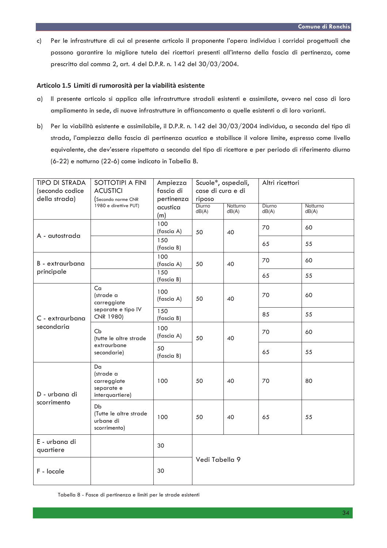Per le infrastrutture di cui al presente articolo il proponente l'opera individua i corridoi progettuali che  $c)$ possono garantire la migliore tutela dei ricettori presenti all'interno della fascia di pertinenza, come prescritto dal comma 2, art. 4 del D.P.R. n. 142 del 30/03/2004.

## Articolo 1.5 Limiti di rumorosità per la viabilità esistente

- a) Il presente articolo si applica alle infrastrutture stradali esistenti e assimilate, ovvero nel caso di loro ampliamento in sede, di nuove infrastrutture in affiancamento a quelle esistenti o di loro varianti.
- b) Per la viabilità esistente e assimilabile, il D.P.R. n. 142 del 30/03/2004 individua, a seconda del tipo di strada, l'ampiezza della fascia di pertinenza acustica e stabilisce il valore limite, espresso come livello equivalente, che dev'essere rispettato a seconda del tipo di ricettore e per periodo di riferimento diurno (6-22) e notturno (22-6) come indicato in Tabella 8.

| <b>TIPO DI STRADA</b><br>(secondo codice<br>della strada) | SOTTOTIPI A FINI<br><b>ACUSTICI</b><br>(Secondo norme CNR       | Ampiezza<br>fascia di<br>pertinenza | case di cura e di<br>riposo | Scuole*, ospedali, | Altri ricettori |                   |
|-----------------------------------------------------------|-----------------------------------------------------------------|-------------------------------------|-----------------------------|--------------------|-----------------|-------------------|
|                                                           | 1980 e direttive PUT)                                           | acustica<br>(m)                     | Diurno<br>dB(A)             | Notturno<br>dB(A)  | Diurno<br>dB(A) | Notturno<br>dB(A) |
| A - autostrada                                            |                                                                 | 100<br>(fascia A)                   | 50                          | 40                 | 70              | 60                |
|                                                           |                                                                 | 150<br>(fascia B)                   |                             |                    | 65              | 55                |
| B - extraurbana                                           |                                                                 | 100<br>(fascia A)                   | 50                          | 40                 | 70              | 60                |
| principale                                                |                                                                 | 150<br>(fascia B)                   |                             |                    | 65              | 55                |
|                                                           | Ca<br>(strade a<br>carreggiate                                  | 100<br>(fascia A)                   | 50                          | 40                 | 70              | 60                |
| C - extraurbana<br>secondaria                             | separate e tipo IV<br>CNR 1980)                                 | 150<br>(fascia B)                   |                             |                    | 85              | 55                |
|                                                           | Cb<br>(tutte le altre strade<br>extraurbane<br>secondarie)      | 100<br>(fascia A)                   | 50                          | 40                 | 70              | 60                |
|                                                           |                                                                 | 50<br>(fascia B)                    |                             |                    | 65              | 55                |
| D - urbana di                                             | Da<br>(strade a<br>carreggiate<br>separate e<br>interquartiere) | 100                                 | 50                          | 40                 | 70              | 80                |
| scorrimento                                               | Db<br>(Tutte le altre strade<br>urbane di<br>scorrimento)       | 100                                 | 50                          | 40                 | 65              | 55                |
| E - urbana di<br>quartiere                                |                                                                 | 30                                  |                             |                    |                 |                   |
| F - locale                                                |                                                                 | 30                                  | Vedi Tabella 9              |                    |                 |                   |

Tabella 8 - Fasce di pertinenza e limiti per le strade esistenti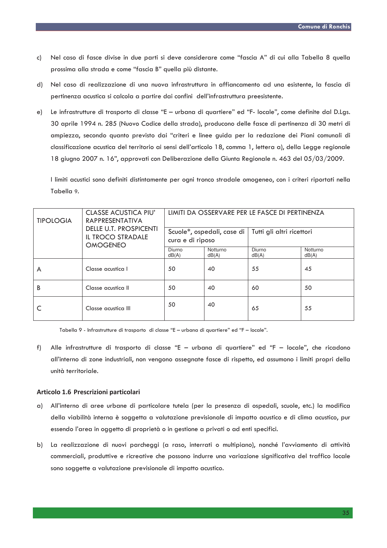- Nel caso di fasce divise in due parti si deve considerare come "fascia A" di cui alla Tabella 8 quella  $\mathsf{C}$ prossima alla strada e come "fascia B" auella più distante.
- d) Nel caso di realizzazione di una nuova infrastruttura in affiancamento ad una esistente, la fascia di pertinenza acustica si calcola a partire dai confini dell'infrastruttura preesistente.
- Le infrastrutture di trasporto di classe "E urbana di quartiere" ed "F- locale", come definite dal D.Lgs.  $e)$ 30 aprile 1994 n. 285 (Nuovo Codice della strada), producono delle fasce di pertinenza di 30 metri di ampiezza, secondo quanto previsto dai "criteri e linee guida per la redazione dei Piani comunali di classificazione acustica del territorio ai sensi dell'articolo 18, comma 1, lettera a), della Legge regionale 18 giugno 2007 n. 16", approvati con Deliberazione della Giunta Regionale n. 463 del 05/03/2009.

I limiti acustici sono definiti distintamente per ogni tronco stradale omogeneo, con i criteri riportati nella Tabella 9.

| <b>TIPOLOGIA</b> | <b>CLASSE ACUSTICA PIU'</b><br><b>RAPPRESENTATIVA</b>                        | LIMITI DA OSSERVARE PER LE FASCE DI PERTINENZA |                   |                           |                   |  |
|------------------|------------------------------------------------------------------------------|------------------------------------------------|-------------------|---------------------------|-------------------|--|
|                  | <b>DELLE U.T. PROSPICENTI</b><br><b>IL TROCO STRADALE</b><br><b>OMOGENEO</b> | Scuole*, ospedali, case di<br>cura e di riposo |                   | Tutti gli altri ricettori |                   |  |
|                  |                                                                              | Diurno<br>dB(A)                                | Notturno<br>dB(A) | Diurno<br>dB(A)           | Notturno<br>dB(A) |  |
| A                | Classe acustica I                                                            | 50                                             | 40                | 55                        | 45                |  |
| B                | Classe acustica II                                                           | 50                                             | 40                | 60                        | 50                |  |
|                  | Classe acustica III                                                          | 50                                             | 40                | 65                        | 55                |  |

Tabella 9 - Infrastrutture di trasporto di classe "E - urbana di quartiere" ed "F - locale".

Alle infrastrutture di trasporto di classe "E - urbana di quartiere" ed "F - locale", che ricadono  $f$ ) all'interno di zone industriali, non vengono assegnate fasce di rispetto, ed assumono i limiti propri della unità territoriale.

#### Articolo 1.6 Prescrizioni particolari

- a) All'interno di aree urbane di particolare tutela (per la presenza di ospedali, scuole, etc.) la modifica della viabilità interna è soggetta a valutazione previsionale di impatto acustico e di clima acustico, pur essendo l'area in oggetto di proprietà o in gestione a privati o ad enti specifici.
- b) La realizzazione di nuovi parcheggi (a raso, interrati o multipiano), nonché l'avviamento di attività commerciali, produttive e ricreative che possono indurre una variazione significativa del traffico locale sono soggette a valutazione previsionale di impatto acustico.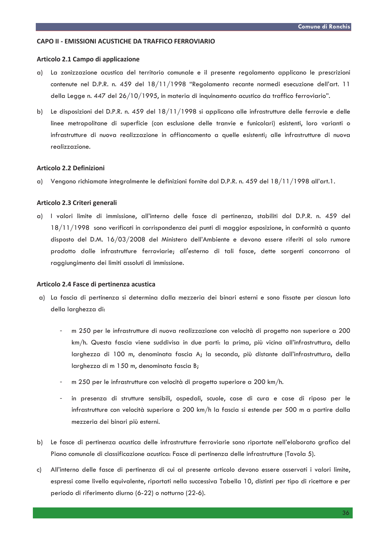#### CAPO II - EMISSIONI ACUSTICHE DA TRAFFICO FERROVIARIO

#### Articolo 2.1 Campo di applicazione

- $\alpha$ ) La zonizzazione acustica del territorio comunale e il presente regolamento applicano le prescrizioni contenute nel D.P.R. n. 459 del 18/11/1998 "Regolamento recante normedi esecuzione dell'art. 11 della Legge n. 447 del 26/10/1995, in materia di inquinamento acustico da traffico ferroviario".
- b) Le disposizioni del D.P.R. n. 459 del 18/11/1998 si applicano alle infrastrutture delle ferrovie e delle linee metropolitane di superficie (con esclusione delle tranvie e funicolari) esistenti, loro varianti o infrastrutture di nuova realizzazione in affiancamento a quelle esistenti; alle infrastrutture di nuova realizzazione.

## Articolo 2.2 Definizioni

a) Vengono richiamate integralmente le definizioni fornite dal D.P.R. n. 459 del 18/11/1998 all'art.1.

## Articolo 2.3 Criteri generali

a) I valori limite di immissione, all'interno delle fasce di pertinenza, stabiliti dal D.P.R. n. 459 del 18/11/1998 sono verificati in corrispondenza dei punti di maggior esposizione, in conformità a quanto disposto del D.M. 16/03/2008 del Ministero dell'Ambiente e devono essere riferiti al solo rumore prodotto dalle infrastrutture ferroviarie; all'esterno di tali fasce, dette sorgenti concorrono al raggiunaimento dei limiti assoluti di immissione.

#### Articolo 2.4 Fasce di pertinenza acustica

- a) La fascia di pertinenza si determina dalla mezzeria dei binari esterni e sono fissate per ciascun lato della larghezza di:
	- m 250 per le infrastrutture di nuova realizzazione con velocità di progetto non superiore a 200 km/h. Questa fascia viene suddivisa in due parti: la prima, più vicina all'infrastruttura, della larghezza di 100 m, denominata fascia A; la seconda, più distante dall'infrastruttura, della larghezza di m 150 m, denominata fascia B;
	- m 250 per le infrastrutture con velocità di progetto superiore a 200 km/h.
	- in presenza di strutture sensibili, ospedali, scuole, case di cura e case di riposo per le infrastrutture con velocità superiore a 200 km/h la fascia si estende per 500 m a partire dalla mezzeria dei binari più esterni.
- b) Le fasce di pertinenza acustica delle infrastrutture ferroviarie sono riportate nell'elaborato grafico del Piano comunale di classificazione acustica: Fasce di pertinenza delle infrastrutture (Tavola 5).
- All'interno delle fasce di pertinenza di cui al presente articolo devono essere osservati i valori limite, c) espressi come livello equivalente, riportati nella successiva Tabella 10, distinti per tipo di ricettore e per periodo di riferimento diurno (6-22) o notturno (22-6).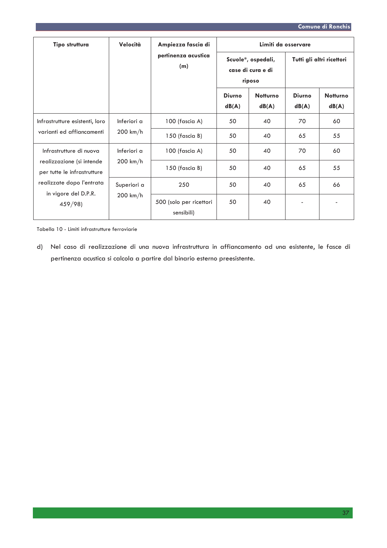| Tipo struttura                                                                                                                                     | Velocità                          | Ampiezza fascia di                    | Limiti da osservare                               |                          |                           |                          |
|----------------------------------------------------------------------------------------------------------------------------------------------------|-----------------------------------|---------------------------------------|---------------------------------------------------|--------------------------|---------------------------|--------------------------|
|                                                                                                                                                    |                                   | pertinenza acustica<br>(m)            | Scuole*, ospedali,<br>case di cura e di<br>riposo |                          | Tutti gli altri ricettori |                          |
|                                                                                                                                                    |                                   |                                       | <b>Diurno</b><br>dB(A)                            | <b>Notturno</b><br>dB(A) | <b>Diurno</b><br>dB(A)    | <b>Notturno</b><br>dB(A) |
| Infrastrutture esistenti, loro<br>varianti ed affiancamenti                                                                                        | Inferiori a<br>$200 \text{ km/h}$ | 100 (fascia A)                        | 50                                                | 40                       | 70                        | 60                       |
|                                                                                                                                                    |                                   | 150 (fascia B)                        | 50                                                | 40                       | 65                        | 55                       |
| Infrastrutture di nuova<br>realizzazione (si intende<br>per tutte le infrastrutture<br>realizzate dopo l'entrata<br>in vigore del D.P.R.<br>459/98 | Inferiori a                       | 100 (fascia A)                        | 50                                                | 40                       | 70                        | 60                       |
|                                                                                                                                                    | $200 \text{ km/h}$                | 150 (fascia B)                        | 50                                                | 40                       | 65                        | 55                       |
|                                                                                                                                                    | Superiori a<br>$200 \text{ km/h}$ | 250                                   | 50                                                | 40                       | 65                        | 66                       |
|                                                                                                                                                    |                                   | 500 (solo per ricettori<br>sensibili) | 50                                                | 40                       |                           |                          |

Tabella 10 - Limiti infrastrutture ferroviarie

d) Nel caso di realizzazione di una nuova infrastruttura in affiancamento ad una esistente, le fasce di pertinenza acustica si calcola a partire dal binario esterno preesistente.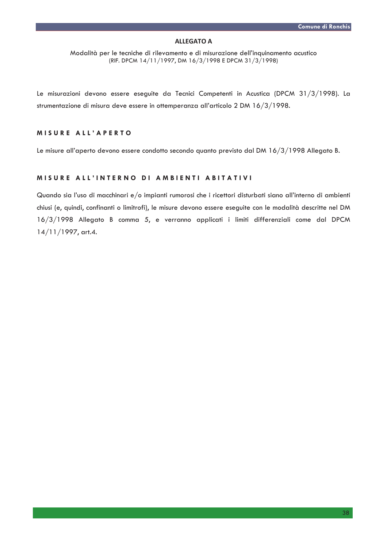#### **ALLEGATO A**

Modalità per le tecniche di rilevamento e di misurazione dell'inquinamento acustico (RIF. DPCM 14/11/1997, DM 16/3/1998 E DPCM 31/3/1998)

Le misurazioni devono essere eseguite da Tecnici Competenti in Acustica (DPCM 31/3/1998). La strumentazione di misura deve essere in ottemperanza all'articolo 2 DM 16/3/1998.

## MISURE ALL'APERTO

Le misure all'aperto devono essere condotto secondo quanto previsto dal DM 16/3/1998 Allegato B.

## MISURE ALL'INTERNO DI AMBIENTI ABITATIVI

Quando sia l'uso di macchinari e/o impianti rumorosi che i ricettori disturbati siano all'interno di ambienti chiusi (e, quindi, confinanti o limitrofi), le misure devono essere eseguite con le modalità descritte nel DM 16/3/1998 Allegato B comma 5, e verranno applicati i limiti differenziali come dal DPCM  $14/11/1997$ , art.4.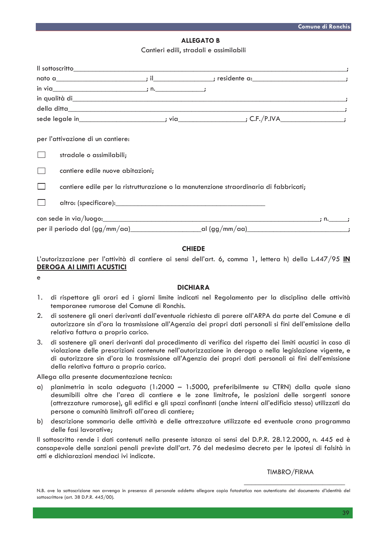## **ALLEGATO B**

Cantieri edili, stradali e assimilabili

|                                   | in qualità di <b>contra l'alta di contra l'alta di contra l'alta di contra l'alta di contra l'alta di contra l'alta di</b> |      |  |
|-----------------------------------|----------------------------------------------------------------------------------------------------------------------------|------|--|
|                                   |                                                                                                                            |      |  |
|                                   |                                                                                                                            |      |  |
| per l'attivazione di un cantiere: |                                                                                                                            |      |  |
| stradale o assimilabili;          |                                                                                                                            |      |  |
| cantiere edile nuove abitazioni;  |                                                                                                                            |      |  |
|                                   | cantiere edile per la ristrutturazione o la manutenzione straordinaria di fabbricati;                                      |      |  |
|                                   |                                                                                                                            |      |  |
|                                   |                                                                                                                            | ; n. |  |
|                                   |                                                                                                                            |      |  |
|                                   |                                                                                                                            |      |  |

## **CHIEDE**

L'autorizzazione per l'attività di cantiere ai sensi dell'art. 6, comma 1, lettera h) della L.447/95 IN **DEROGA AI LIMITI ACUSTICI** 

 $\ddot{e}$ 

#### **DICHIARA**

- di rispettare gli orari ed i giorni limite indicati nel Regolamento per la disciplina delle attività  $1.$ temporanee rumorose del Comune di Ronchis.
- di sostenere gli oneri derivanti dall'eventuale richiesta di parere all'ARPA da parte del Comune e di  $2.$ autorizzare sin d'ora la trasmissione all'Agenzia dei propri dati personali si fini dell'emissione della relativa fattura a proprio carico.
- di sostenere gli oneri derivanti dal procedimento di verifica del rispetto dei limiti acustici in caso di 3. violazione delle prescrizioni contenute nell'autorizzazione in deroga o nella legislazione vigente, e di autorizzare sin d'ora la trasmissione all'Agenzia dei propri dati personali ai fini dell'emissione della relativa fattura a proprio carico.

#### Allega alla presente documentazione tecnica:

- $\alpha$ ) planimetria in scala adeguata (1:2000 - 1:5000, preferibilmente su CTRN) dalla quale siano desumibili oltre che l'area di cantiere e le zone limitrofe, le posizioni delle sorgenti sonore (attrezzature rumorose), gli edifici e gli spazi confinanti (anche interni all'edificio stesso) utilizzati da persone o comunità limitrofi all'area di cantiere;
- b) descrizione sommaria delle attività e delle attrezzature utilizzate ed eventuale crono programma delle fasi lavorative:

Il sottoscritto rende i dati contenuti nella presente istanza ai sensi del D.P.R. 28.12.2000, n. 445 ed è consapevole delle sanzioni penali previste dall'art. 76 del medesimo decreto per le ipotesi di falsità in atti e dichiarazioni mendaci ivi indicate.

## TIMBRO/FIRMA

N.B. ove la sottoscrizione non avvenga in presenza di personale addetto allegare copia fotostatica non autenticata del documento d'identità del sottoscrittore (art. 38 D.P.R. 445/00).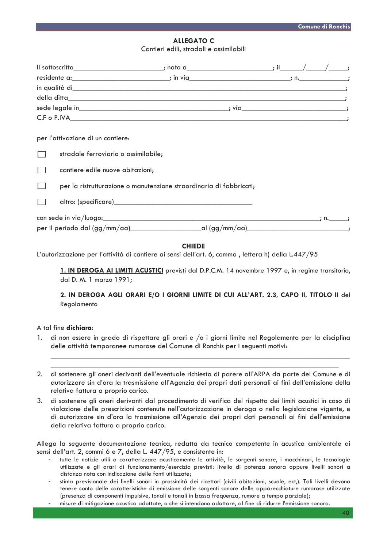## **ALLEGATO C** Cantieri edili, stradali e assimilabili

|                                                                                                                                                                                                                                      | ; nato a______________________; il_ |  |  |
|--------------------------------------------------------------------------------------------------------------------------------------------------------------------------------------------------------------------------------------|-------------------------------------|--|--|
| residente a: the contract of the contract of the contract of the contract of the contract of the contract of the contract of the contract of the contract of the contract of the contract of the contract of the contract of t       |                                     |  |  |
| in qualità di estatunità di contra l'architectura della contra della contra della contra di contra di contra d                                                                                                                       |                                     |  |  |
|                                                                                                                                                                                                                                      |                                     |  |  |
|                                                                                                                                                                                                                                      |                                     |  |  |
| C.F o P.IVA <u>contract the contract of the contract of the contract of the contract of the contract of the contract of the contract of the contract of the contract of the contract of the contract of the contract of the cont</u> |                                     |  |  |
|                                                                                                                                                                                                                                      |                                     |  |  |
| per l'attivazione di un cantiere:                                                                                                                                                                                                    |                                     |  |  |
| stradale ferroviario o assimilabile;                                                                                                                                                                                                 |                                     |  |  |
| cantiere edile nuove abitazioni;                                                                                                                                                                                                     |                                     |  |  |

 $\Box$ per la ristrutturazione o manutenzione straordinaria di fabbricati;

 $\Box$ altro: (specificare)

con sede in via/luogo:  $\frac{1}{\sqrt{1-\frac{1}{2}}}$  n. al (gg/mm/aa) per il periodo dal (gg/mm/aa)

# **CHIEDE**

L'autorizzazione per l'attività di cantiere ai sensi dell'art. 6, comma, lettera h) della L.447/95

1. IN DEROGA AI LIMITI ACUSTICI previsti dal D.P.C.M. 14 novembre 1997 e, in regime transitorio, dal D. M. 1 marzo 1991;

# 2. IN DEROGA AGLI ORARI E/O I GIORNI LIMITE DI CUI ALL'ART. 2.3, CAPO II, TITOLO II del Regolamento

# A tal fine dichiara.

- di non essere in grado di rispettare gli orari e /o i giorni limite nel Regolamento per la disciplina  $1.$ delle attività temporanee rumorose del Comune di Ronchis per i sequenti motivi:
- 2. di sostenere gli oneri derivanti dell'eventuale richiesta di parere all'ARPA da parte del Comune e di autorizzare sin d'ora la trasmissione all'Agenzia dei propri dati personali ai fini dell'emissione della relativa fattura a proprio carico.
- $3.$ di sostenere gli oneri derivanti dal procedimento di verifica del rispetto dei limiti acustici in caso di violazione delle prescrizioni contenute nell'autorizzazione in deroga o nella legislazione vigente, e di autorizzare sin d'ora la trasmissione all'Agenzia dei propri dati personali ai fini dell'emissione della relativa fattura a proprio carico.

Allega la seguente documentazione tecnica, redatta da tecnico competente in acustica ambientale ai sensi dell'art. 2, commi 6 e 7, della L. 447/95, e consistente in:

- tutte le notizie utili a caratterizzare acusticamente le attività, le sorgenti sonore, i macchinari, le tecnologie utilizzate e gli orari di funzionamento/esercizio previsti: livello di potenza sonora oppure livelli sonori a distanza nota con indicazione delle fonti utilizzate;
- stima previsionale dei livelli sonori in prossimità dei ricettori (civili abitazioni, scuole, ect,). Tali livelli devono tenere conto delle caratteristiche di emissione delle sorgenti sonore delle apparecchiature rumorose utilizzate (presenza di componenti impulsive, tonali e tonali in bassa frequenza, rumore a tempo parziale);
- misure di mitigazione acustica adottate, o che si intendono adottare, al fine di ridurre l'emissione sonora.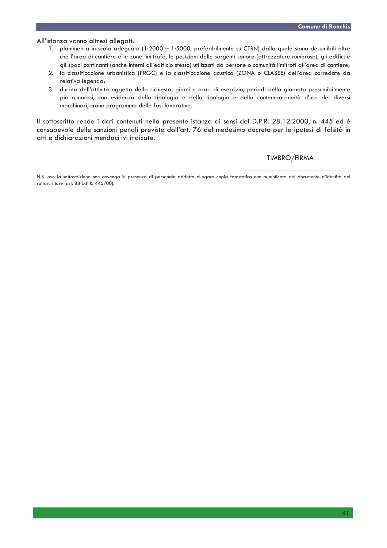#### All'istanza vanno altresì allegati:

- 1. planimetria in scala adeguata (1:2000 1:5000, preferibilmente su CTRN) dalla quale siano desumibili oltre che l'area di cantiere e le zone limitrofe, le posizioni delle sorgenti sonore (attrezzature rumorose), gli edifici e gli spazi confinanti (anche interni all'edificio stesso) utilizzati da persone o comunità limitrofi all'area di cantiere;
- 2. la classificazione urbanistica (PRGC) e la classificazione acustica (ZONA o CLASSE) dell'area corredate da relativa legenda;
- 3. durata dell'attività oggetto della richiesta, giorni e orari di esercizio, periodi della giornata presumibilmente più rumorosi, con evidenza della tipologia e della tipologia e della contemporaneità d'uso dei diversi macchinari, crono programma delle fasi lavorative.

Il sottoscritto rende i dati contenuti nella presente istanza ai sensi del D.P.R. 28.12.2000, n. 445 ed è consapevole delle sanzioni penali previste dall'art. 76 del medesimo decreto per le ipotesi di falsità in atti e dichiarazioni mendaci ivi indicate.

**TIMBRO/FIRMA** 

N.B. ove la sottoscrizione non avvenga in presenza di personale addetto allegare copia fotostatica non autenticata del documento d'identità del sottoscrittore (art. 38 D.P.R. 445/00).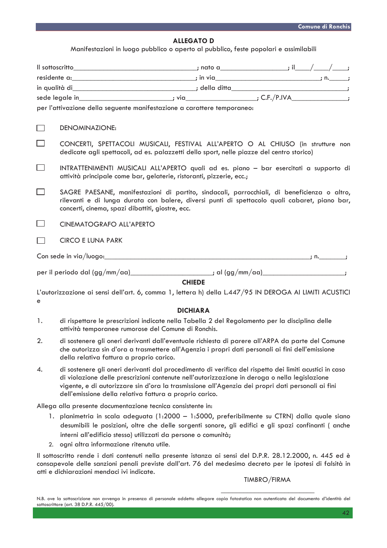## **ALLEGATO D**

Manifestazioni in luogo pubblico o aperto al pubblico, feste popolari e assimilabili

| $\frac{1}{2}$ in via <u>second and the second control in the second control in the second control in the second control in the second control in the second control in the second control in the second control in the second contr</u> |                                                                                                                                                                                                                                                                                                                                                                         |                                                                                                                                                                                                      |  |  |  |
|-----------------------------------------------------------------------------------------------------------------------------------------------------------------------------------------------------------------------------------------|-------------------------------------------------------------------------------------------------------------------------------------------------------------------------------------------------------------------------------------------------------------------------------------------------------------------------------------------------------------------------|------------------------------------------------------------------------------------------------------------------------------------------------------------------------------------------------------|--|--|--|
|                                                                                                                                                                                                                                         |                                                                                                                                                                                                                                                                                                                                                                         |                                                                                                                                                                                                      |  |  |  |
|                                                                                                                                                                                                                                         | sede legale in_______________________________; via______________________; C.F./P.IVA_________________;                                                                                                                                                                                                                                                                  |                                                                                                                                                                                                      |  |  |  |
|                                                                                                                                                                                                                                         | per l'attivazione della seguente manifestazione a carattere temporaneo:                                                                                                                                                                                                                                                                                                 |                                                                                                                                                                                                      |  |  |  |
|                                                                                                                                                                                                                                         |                                                                                                                                                                                                                                                                                                                                                                         |                                                                                                                                                                                                      |  |  |  |
| $\Box$                                                                                                                                                                                                                                  | <b>DENOMINAZIONE:</b>                                                                                                                                                                                                                                                                                                                                                   |                                                                                                                                                                                                      |  |  |  |
|                                                                                                                                                                                                                                         | CONCERTI, SPETTACOLI MUSICALI, FESTIVAL ALL'APERTO O AL CHIUSO (in strutture non<br>dedicate agli spettacoli, ad es. palazzetti dello sport, nelle piazze del centro storico)                                                                                                                                                                                           |                                                                                                                                                                                                      |  |  |  |
|                                                                                                                                                                                                                                         | INTRATTENIMENTI MUSICALI ALL'APERTO quali ad es. piano - bar esercitati a supporto di<br>attività principale come bar, gelaterie, ristoranti, pizzerie, ecc.;                                                                                                                                                                                                           |                                                                                                                                                                                                      |  |  |  |
|                                                                                                                                                                                                                                         | SAGRE PAESANE, manifestazioni di partito, sindacali, parrocchiali, di beneficienza o altro,<br>rilevanti e di lunga durata con balere, diversi punti di spettacolo quali cabaret, piano bar,<br>concerti, cinema, spazi dibattiti, giostre, ecc.                                                                                                                        |                                                                                                                                                                                                      |  |  |  |
|                                                                                                                                                                                                                                         | CINEMATOGRAFO ALL'APERTO                                                                                                                                                                                                                                                                                                                                                |                                                                                                                                                                                                      |  |  |  |
| $\mathbf{I}$                                                                                                                                                                                                                            | <b>CIRCO E LUNA PARK</b>                                                                                                                                                                                                                                                                                                                                                |                                                                                                                                                                                                      |  |  |  |
|                                                                                                                                                                                                                                         |                                                                                                                                                                                                                                                                                                                                                                         |                                                                                                                                                                                                      |  |  |  |
|                                                                                                                                                                                                                                         | per il periodo dal (gg/mm/aa)_________________________; al (gg/mm/aa)_______________________;                                                                                                                                                                                                                                                                           |                                                                                                                                                                                                      |  |  |  |
|                                                                                                                                                                                                                                         |                                                                                                                                                                                                                                                                                                                                                                         | <b>CHIEDE</b>                                                                                                                                                                                        |  |  |  |
| е                                                                                                                                                                                                                                       | L'autorizzazione ai sensi dell'art. 6, comma 1, lettera h) della L.447/95 IN DEROGA AI LIMITI ACUSTICI                                                                                                                                                                                                                                                                  |                                                                                                                                                                                                      |  |  |  |
|                                                                                                                                                                                                                                         |                                                                                                                                                                                                                                                                                                                                                                         | <b>DICHIARA</b>                                                                                                                                                                                      |  |  |  |
| 1.                                                                                                                                                                                                                                      | di rispettare le prescrizioni indicate nella Tabella 2 del Regolamento per la disciplina delle<br>attività temporanee rumorose del Comune di Ronchis.                                                                                                                                                                                                                   |                                                                                                                                                                                                      |  |  |  |
| 2.                                                                                                                                                                                                                                      | della relativa fattura a proprio carico.                                                                                                                                                                                                                                                                                                                                | di sostenere gli oneri derivanti dall'eventuale richiesta di parere all'ARPA da parte del Comune<br>che autorizza sin d'ora a trasmettere all'Agenzia i propri dati personali ai fini dell'emissione |  |  |  |
| 4.                                                                                                                                                                                                                                      | di sostenere gli oneri derivanti dal procedimento di verifica del rispetto dei limiti acustici in caso<br>di violazione delle prescrizioni contenute nell'autorizzazione in deroga o nella legislazione<br>vigente, e di autorizzare sin d'ora la trasmissione all'Agenzia dei propri dati personali ai fini<br>dell'emissione della relativa fattura a proprio carico. |                                                                                                                                                                                                      |  |  |  |
|                                                                                                                                                                                                                                         | Allega alla presente documentazione tecnica consistente in:                                                                                                                                                                                                                                                                                                             |                                                                                                                                                                                                      |  |  |  |
|                                                                                                                                                                                                                                         | 1. planimetria in scala adeguata (1:2000 - 1:5000, preferibilmente su CTRN) dalla quale siano<br>desumibili le posizioni, oltre che delle sorgenti sonore, gli edifici e gli spazi confinanti ( anche                                                                                                                                                                   |                                                                                                                                                                                                      |  |  |  |

- interni all'edificio stesso) utilizzati da persone o comunità;
- 2. ogni altra informazione ritenuta utile.

Il sottoscritto rende i dati contenuti nella presente istanza ai sensi del D.P.R. 28.12.2000, n. 445 ed è consapevole delle sanzioni penali previste dall'art. 76 del medesimo decreto per le ipotesi di falsità in atti e dichiarazioni mendaci ivi indicate.

TIMBRO/FIRMA

N.B. ove la sottoscrizione non avvenga in presenza di personale addetto allegare copia fotostatica non autenticata del documento d'identità del sottoscrittore (art. 38 D.P.R. 445/00).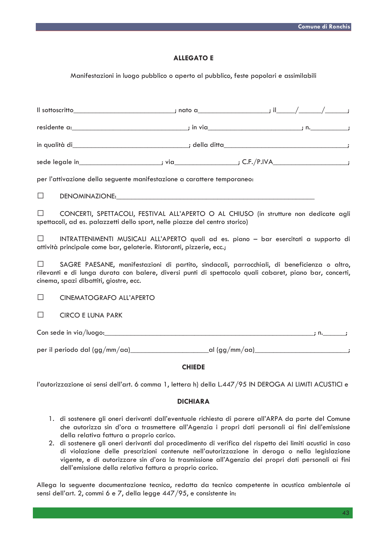# **ALLEGATO E**

Manifestazioni in luogo pubblico o aperto al pubblico, feste popolari e assimilabili

| in qualità di__________________________________; della ditta_______________________________;                                                                                                                                                                |  |  |  |  |  |
|-------------------------------------------------------------------------------------------------------------------------------------------------------------------------------------------------------------------------------------------------------------|--|--|--|--|--|
| sede legale in_________________________; via__________________; C.F./P.IVA____________________;                                                                                                                                                             |  |  |  |  |  |
| per l'attivazione della seguente manifestazione a carattere temporaneo:                                                                                                                                                                                     |  |  |  |  |  |
| $\Box$<br>DENOMINAZIONE: University of the contract of the contract of the contract of the contract of the contract of the contract of the contract of the contract of the contract of the contract of the contract of the contract of t                    |  |  |  |  |  |
| CONCERTI, SPETTACOLI, FESTIVAL ALL'APERTO O AL CHIUSO (in strutture non dedicate agli<br>spettacoli, ad es. palazzetti dello sport, nelle piazze del centro storico)                                                                                        |  |  |  |  |  |
| INTRATTENIMENTI MUSICALI ALL'APERTO quali ad es. piano - bar esercitati a supporto di<br>$\Box$<br>attività principale come bar, gelaterie. Ristoranti, pizzerie, ecc.;                                                                                     |  |  |  |  |  |
| SAGRE PAESANE, manifestazioni di partito, sindacali, parrocchiali, di beneficienza o altro,<br>$\perp$<br>rilevanti e di lunga durata con balere, diversi punti di spettacolo quali cabaret, piano bar, concerti,<br>cinema, spazi dibattiti, giostre, ecc. |  |  |  |  |  |
| $\Box$<br>CINEMATOGRAFO ALL'APERTO                                                                                                                                                                                                                          |  |  |  |  |  |
| <b>CIRCO E LUNA PARK</b><br>$\perp$                                                                                                                                                                                                                         |  |  |  |  |  |
|                                                                                                                                                                                                                                                             |  |  |  |  |  |
| per il periodo dal (gg/mm/aa)___________________________al (gg/mm/aa)______________________________;                                                                                                                                                        |  |  |  |  |  |
| <b>CHIEDE</b>                                                                                                                                                                                                                                               |  |  |  |  |  |

l'autorizzazione ai sensi dell'art. 6 comma 1, lettera h) della L.447/95 IN DEROGA AI LIMITI ACUSTICI e

# **DICHIARA**

- 1. di sostenere gli oneri derivanti dall'eventuale richiesta di parere all'ARPA da parte del Comune che autorizza sin d'ora a trasmettere all'Agenzia i propri dati personali ai fini dell'emissione della relativa fattura a proprio carico.
- 2. di sostenere gli oneri derivanti dal procedimento di verifica del rispetto dei limiti acustici in caso di violazione delle prescrizioni contenute nell'autorizzazione in deroga o nella legislazione vigente, e di autorizzare sin d'ora la trasmissione all'Agenzia dei propri dati personali ai fini dell'emissione della relativa fattura a proprio carico.

Allega la seguente documentazione tecnica, redatta da tecnico competente in acustica ambientale ai sensi dell'art. 2, commi 6 e 7, della legge 447/95, e consistente in: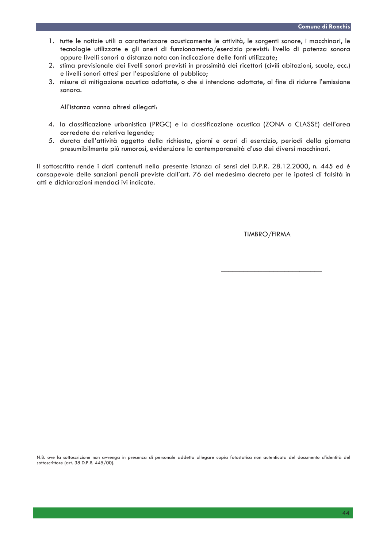- 1. tutte le notizie utili a caratterizzare acusticamente le attività, le sorgenti sonore, i macchinari, le tecnologie utilizzate e gli oneri di funzionamento/esercizio previsti: livello di potenza sonora oppure livelli sonori a distanza nota con indicazione delle fonti utilizzate;
- 2. stima previsionale dei livelli sonori previsti in prossimità dei ricettori (civili abitazioni, scuole, ecc.) e livelli sonori attesi per l'esposizione al pubblico;
- 3. misure di mitigazione acustica adottate, o che si intendono adottate, al fine di ridurre l'emissione sonora.

All'istanza vanno altresì allegati:

- 4. la classificazione urbanistica (PRGC) e la classificazione acustica (ZONA o CLASSE) dell'area corredate da relativa legenda;
- 5. durata dell'attività oggetto della richiesta, giorni e orari di esercizio, periodi della giornata presumibilmente più rumorosi, evidenziare la contemporaneità d'uso dei diversi macchinari.

Il sottoscritto rende i dati contenuti nella presente istanza ai sensi del D.P.R. 28.12.2000, n. 445 ed è consapevole delle sanzioni penali previste dall'art. 76 del medesimo decreto per le ipotesi di falsità in atti e dichiarazioni mendaci ivi indicate.

TIMBRO/FIRMA

N.B. ove la sottoscrizione non avvenga in presenza di personale addetto allegare copia fotostatica non autenticata del documento d'identità del sottoscrittore (art. 38 D.P.R. 445/00).